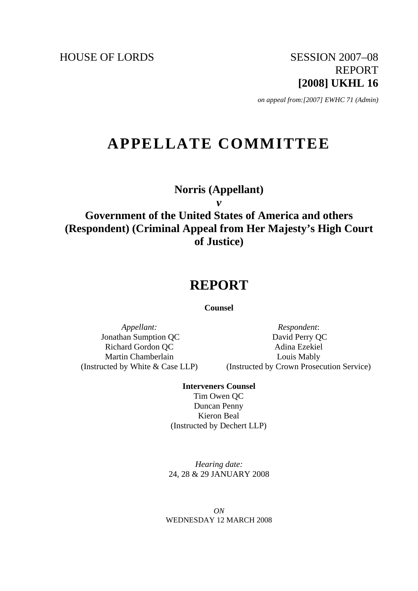HOUSE OF LORDS SESSION 2007–08

*on appeal from:[2007] EWHC 71 (Admin)*

## **APPELLATE COMMITTEE**

**Norris (Appellant)** 

*v*

### **Government of the United States of America and others (Respondent) (Criminal Appeal from Her Majesty's High Court of Justice)**

## **REPORT**

#### **Counsel**

*Appellant:* Jonathan Sumption QC Richard Gordon QC Martin Chamberlain (Instructed by White & Case LLP)

*Respondent*: David Perry QC Adina Ezekiel Louis Mably (Instructed by Crown Prosecution Service)

#### **Interveners Counsel**  Tim Owen QC Duncan Penny Kieron Beal (Instructed by Dechert LLP)

*Hearing date:*  24, 28 & 29 JANUARY 2008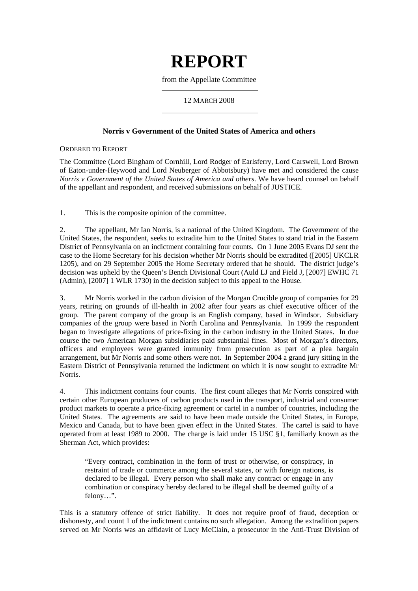# **REPORT**

from the Appellate Committee

#### 12 MARCH 2008

#### **Norris v Government of the United States of America and others**

#### ORDERED TO REPORT

The Committee (Lord Bingham of Cornhill, Lord Rodger of Earlsferry, Lord Carswell, Lord Brown of Eaton-under-Heywood and Lord Neuberger of Abbotsbury) have met and considered the cause *Norris v Government of the United States of America and others*. We have heard counsel on behalf of the appellant and respondent, and received submissions on behalf of JUSTICE.

1. This is the composite opinion of the committee.

2. The appellant, Mr Ian Norris, is a national of the United Kingdom. The Government of the United States, the respondent, seeks to extradite him to the United States to stand trial in the Eastern District of Pennsylvania on an indictment containing four counts. On 1 June 2005 Evans DJ sent the case to the Home Secretary for his decision whether Mr Norris should be extradited ([2005] UKCLR 1205), and on 29 September 2005 the Home Secretary ordered that he should. The district judge's decision was upheld by the Queen's Bench Divisional Court (Auld LJ and Field J, [2007] EWHC 71 (Admin), [2007] 1 WLR 1730) in the decision subject to this appeal to the House.

3. Mr Norris worked in the carbon division of the Morgan Crucible group of companies for 29 years, retiring on grounds of ill-health in 2002 after four years as chief executive officer of the group. The parent company of the group is an English company, based in Windsor. Subsidiary companies of the group were based in North Carolina and Pennsylvania. In 1999 the respondent began to investigate allegations of price-fixing in the carbon industry in the United States. In due course the two American Morgan subsidiaries paid substantial fines. Most of Morgan's directors, officers and employees were granted immunity from prosecution as part of a plea bargain arrangement, but Mr Norris and some others were not. In September 2004 a grand jury sitting in the Eastern District of Pennsylvania returned the indictment on which it is now sought to extradite Mr Norris.

4. This indictment contains four counts. The first count alleges that Mr Norris conspired with certain other European producers of carbon products used in the transport, industrial and consumer product markets to operate a price-fixing agreement or cartel in a number of countries, including the United States. The agreements are said to have been made outside the United States, in Europe, Mexico and Canada, but to have been given effect in the United States. The cartel is said to have operated from at least 1989 to 2000. The charge is laid under 15 USC §1, familiarly known as the Sherman Act, which provides:

"Every contract, combination in the form of trust or otherwise, or conspiracy, in restraint of trade or commerce among the several states, or with foreign nations, is declared to be illegal. Every person who shall make any contract or engage in any combination or conspiracy hereby declared to be illegal shall be deemed guilty of a felony…".

This is a statutory offence of strict liability. It does not require proof of fraud, deception or dishonesty, and count 1 of the indictment contains no such allegation. Among the extradition papers served on Mr Norris was an affidavit of Lucy McClain, a prosecutor in the Anti-Trust Division of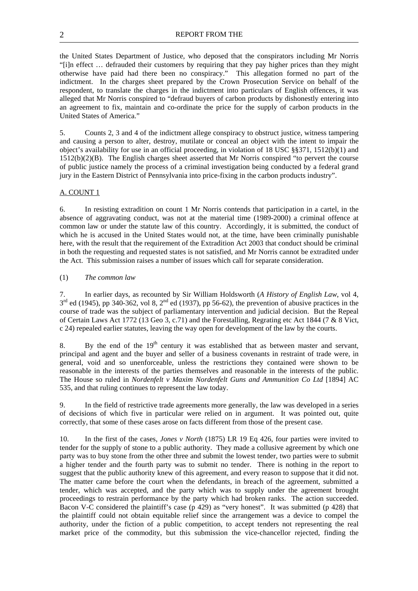the United States Department of Justice, who deposed that the conspirators including Mr Norris "[i]n effect … defrauded their customers by requiring that they pay higher prices than they might otherwise have paid had there been no conspiracy." This allegation formed no part of the indictment. In the charges sheet prepared by the Crown Prosecution Service on behalf of the respondent, to translate the charges in the indictment into particulars of English offences, it was alleged that Mr Norris conspired to "defraud buyers of carbon products by dishonestly entering into an agreement to fix, maintain and co-ordinate the price for the supply of carbon products in the United States of America."

5. Counts 2, 3 and 4 of the indictment allege conspiracy to obstruct justice, witness tampering and causing a person to alter, destroy, mutilate or conceal an object with the intent to impair the object's availability for use in an official proceeding, in violation of 18 USC §§371, 1512(b)(1) and 1512(b)(2)(B). The English charges sheet asserted that Mr Norris conspired "to pervert the course of public justice namely the process of a criminal investigation being conducted by a federal grand jury in the Eastern District of Pennsylvania into price-fixing in the carbon products industry".

#### A. COUNT 1

6. In resisting extradition on count 1 Mr Norris contends that participation in a cartel, in the absence of aggravating conduct, was not at the material time (1989-2000) a criminal offence at common law or under the statute law of this country. Accordingly, it is submitted, the conduct of which he is accused in the United States would not, at the time, have been criminally punishable here, with the result that the requirement of the Extradition Act 2003 that conduct should be criminal in both the requesting and requested states is not satisfied, and Mr Norris cannot be extradited under the Act. This submission raises a number of issues which call for separate consideration.

#### (1) *The common law*

7. In earlier days, as recounted by Sir William Holdsworth (*A History of English Law*, vol 4,  $3<sup>rd</sup>$  ed (1945), pp 340-362, vol 8, 2<sup>nd</sup> ed (1937), pp 56-62), the prevention of abusive practices in the course of trade was the subject of parliamentary intervention and judicial decision. But the Repeal of Certain Laws Act 1772 (13 Geo 3, c.71) and the Forestalling, Regrating etc Act 1844 (7 & 8 Vict, c 24) repealed earlier statutes, leaving the way open for development of the law by the courts.

8. By the end of the  $19<sup>th</sup>$  century it was established that as between master and servant, principal and agent and the buyer and seller of a business covenants in restraint of trade were, in general, void and so unenforceable, unless the restrictions they contained were shown to be reasonable in the interests of the parties themselves and reasonable in the interests of the public. The House so ruled in *Nordenfelt v Maxim Nordenfelt Guns and Ammunition Co Ltd* [1894] AC 535, and that ruling continues to represent the law today.

9. In the field of restrictive trade agreements more generally, the law was developed in a series of decisions of which five in particular were relied on in argument. It was pointed out, quite correctly, that some of these cases arose on facts different from those of the present case.

10. In the first of the cases, *Jones v North* (1875) LR 19 Eq 426, four parties were invited to tender for the supply of stone to a public authority. They made a collusive agreement by which one party was to buy stone from the other three and submit the lowest tender, two parties were to submit a higher tender and the fourth party was to submit no tender. There is nothing in the report to suggest that the public authority knew of this agreement, and every reason to suppose that it did not. The matter came before the court when the defendants, in breach of the agreement, submitted a tender, which was accepted, and the party which was to supply under the agreement brought proceedings to restrain performance by the party which had broken ranks. The action succeeded. Bacon V-C considered the plaintiff's case (p 429) as "very honest". It was submitted (p 428) that the plaintiff could not obtain equitable relief since the arrangement was a device to compel the authority, under the fiction of a public competition, to accept tenders not representing the real market price of the commodity, but this submission the vice-chancellor rejected, finding the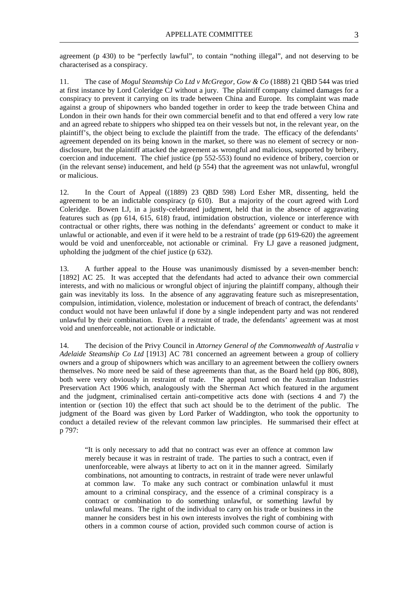agreement (p 430) to be "perfectly lawful", to contain "nothing illegal", and not deserving to be characterised as a conspiracy.

11. The case of *Mogul Steamship Co Ltd v McGregor, Gow & Co* (1888) 21 QBD 544 was tried at first instance by Lord Coleridge CJ without a jury. The plaintiff company claimed damages for a conspiracy to prevent it carrying on its trade between China and Europe. Its complaint was made against a group of shipowners who banded together in order to keep the trade between China and London in their own hands for their own commercial benefit and to that end offered a very low rate and an agreed rebate to shippers who shipped tea on their vessels but not, in the relevant year, on the plaintiff's, the object being to exclude the plaintiff from the trade. The efficacy of the defendants' agreement depended on its being known in the market, so there was no element of secrecy or nondisclosure, but the plaintiff attacked the agreement as wrongful and malicious, supported by bribery, coercion and inducement. The chief justice (pp 552-553) found no evidence of bribery, coercion or (in the relevant sense) inducement, and held  $(p 554)$  that the agreement was not unlawful, wrongful or malicious.

12. In the Court of Appeal ((1889) 23 QBD 598) Lord Esher MR, dissenting, held the agreement to be an indictable conspiracy (p 610). But a majority of the court agreed with Lord Coleridge. Bowen LJ, in a justly-celebrated judgment, held that in the absence of aggravating features such as (pp 614, 615, 618) fraud, intimidation obstruction, violence or interference with contractual or other rights, there was nothing in the defendants' agreement or conduct to make it unlawful or actionable, and even if it were held to be a restraint of trade (pp 619-620) the agreement would be void and unenforceable, not actionable or criminal. Fry LJ gave a reasoned judgment, upholding the judgment of the chief justice (p 632).

13. A further appeal to the House was unanimously dismissed by a seven-member bench: [1892] AC 25. It was accepted that the defendants had acted to advance their own commercial interests, and with no malicious or wrongful object of injuring the plaintiff company, although their gain was inevitably its loss. In the absence of any aggravating feature such as misrepresentation, compulsion, intimidation, violence, molestation or inducement of breach of contract, the defendants' conduct would not have been unlawful if done by a single independent party and was not rendered unlawful by their combination. Even if a restraint of trade, the defendants' agreement was at most void and unenforceable, not actionable or indictable.

14. The decision of the Privy Council in *Attorney General of the Commonwealth of Australia v Adelaide Steamship Co Ltd* [1913] AC 781 concerned an agreement between a group of colliery owners and a group of shipowners which was ancillary to an agreement between the colliery owners themselves. No more need be said of these agreements than that, as the Board held (pp 806, 808), both were very obviously in restraint of trade. The appeal turned on the Australian Industries Preservation Act 1906 which, analogously with the Sherman Act which featured in the argument and the judgment, criminalised certain anti-competitive acts done with (sections 4 and 7) the intention or (section 10) the effect that such act should be to the detriment of the public. The judgment of the Board was given by Lord Parker of Waddington, who took the opportunity to conduct a detailed review of the relevant common law principles. He summarised their effect at p 797:

"It is only necessary to add that no contract was ever an offence at common law merely because it was in restraint of trade. The parties to such a contract, even if unenforceable, were always at liberty to act on it in the manner agreed. Similarly combinations, not amounting to contracts, in restraint of trade were never unlawful at common law. To make any such contract or combination unlawful it must amount to a criminal conspiracy, and the essence of a criminal conspiracy is a contract or combination to do something unlawful, or something lawful by unlawful means. The right of the individual to carry on his trade or business in the manner he considers best in his own interests involves the right of combining with others in a common course of action, provided such common course of action is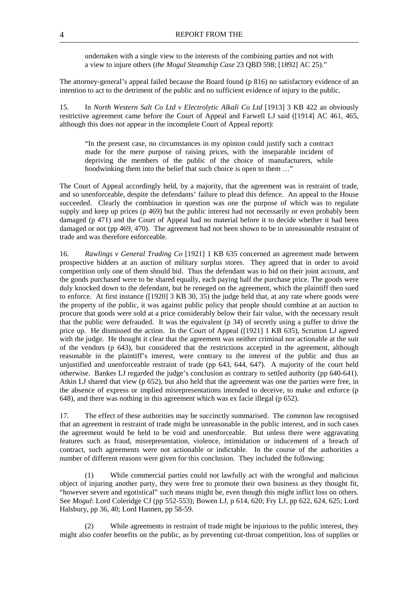undertaken with a single view to the interests of the combining parties and not with a view to injure others (*the Mogul Steamship Case* 23 QBD 598; [1892] AC 25)."

The attorney-general's appeal failed because the Board found (p 816) no satisfactory evidence of an intention to act to the detriment of the public and no sufficient evidence of injury to the public.

15. In *North Western Salt Co Ltd v Electrolytic Alkali Co Ltd* [1913] 3 KB 422 an obviously restrictive agreement came before the Court of Appeal and Farwell LJ said ([1914] AC 461, 465, although this does not appear in the incomplete Court of Appeal report):

"In the present case, no circumstances in my opinion could justify such a contract made for the mere purpose of raising prices, with the inseparable incident of depriving the members of the public of the choice of manufacturers, while hoodwinking them into the belief that such choice is open to them ..."

The Court of Appeal accordingly held, by a majority, that the agreement was in restraint of trade, and so unenforceable, despite the defendants' failure to plead this defence. An appeal to the House succeeded. Clearly the combination in question was one the purpose of which was to regulate supply and keep up prices (p 469) but the public interest had not necessarily or even probably been damaged (p 471) and the Court of Appeal had no material before it to decide whether it had been damaged or not (pp 469, 470). The agreement had not been shown to be in unreasonable restraint of trade and was therefore enforceable.

16. *Rawlings v General Trading Co* [1921] 1 KB 635 concerned an agreement made between prospective bidders at an auction of military surplus stores. They agreed that in order to avoid competition only one of them should bid. Thus the defendant was to bid on their joint account, and the goods purchased were to be shared equally, each paying half the purchase price. The goods were duly knocked down to the defendant, but he reneged on the agreement, which the plaintiff then sued to enforce. At first instance ([1920] 3 KB 30, 35) the judge held that, at any rate where goods were the property of the public, it was against public policy that people should combine at an auction to procure that goods were sold at a price considerably below their fair value, with the necessary result that the public were defrauded. It was the equivalent (p 34) of secretly using a puffer to drive the price up. He dismissed the action. In the Court of Appeal ([1921] 1 KB 635), Scrutton LJ agreed with the judge. He thought it clear that the agreement was neither criminal nor actionable at the suit of the vendors (p 643), but considered that the restrictions accepted in the agreement, although reasonable in the plaintiff's interest, were contrary to the interest of the public and thus an unjustified and unenforceable restraint of trade (pp 643, 644, 647). A majority of the court held otherwise. Bankes LJ regarded the judge's conclusion as contrary to settled authority (pp 640-641). Atkin LJ shared that view (p 652), but also held that the agreement was one the parties were free, in the absence of express or implied misrepresentations intended to deceive, to make and enforce (p 648), and there was nothing in this agreement which was ex facie illegal (p 652).

17. The effect of these authorities may be succinctly summarised. The common law recognised that an agreement in restraint of trade might be unreasonable in the public interest, and in such cases the agreement would be held to be void and unenforceable. But unless there were aggravating features such as fraud, misrepresentation, violence, intimidation or inducement of a breach of contract, such agreements were not actionable or indictable. In the course of the authorities a number of different reasons were given for this conclusion. They included the following:

 (1) While commercial parties could not lawfully act with the wrongful and malicious object of injuring another party, they were free to promote their own business as they thought fit, "however severe and egotistical" such means might be, even though this might inflict loss on others. See *Mogul*: Lord Coleridge CJ (pp 552-553); Bowen LJ, p 614, 620; Fry LJ, pp 622, 624, 625; Lord Halsbury, pp 36, 40; Lord Hannen, pp 58-59.

 (2) While agreements in restraint of trade might be injurious to the public interest, they might also confer benefits on the public, as by preventing cut-throat competition, loss of supplies or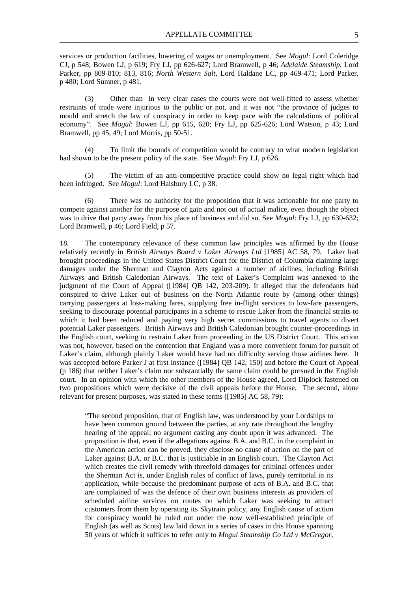services or production facilities, lowering of wages or unemployment. See *Mogul*: Lord Coleridge CJ, p 548; Bowen LJ, p 619; Fry LJ, pp 626-627; Lord Bramwell, p 46; *Adelaide Steamship*, Lord Parker, pp 809-810; 813, 816; *North Western Salt*, Lord Haldane LC, pp 469-471; Lord Parker, p 480; Lord Sumner, p 481.

 (3) Other than in very clear cases the courts were not well-fitted to assess whether restraints of trade were injurious to the public or not, and it was not "the province of judges to mould and stretch the law of conspiracy in order to keep pace with the calculations of political economy". See *Mogul*: Bowen LJ, pp 615, 620; Fry LJ, pp 625-626; Lord Watson, p 43; Lord Bramwell, pp 45, 49; Lord Morris, pp 50-51.

(4) To limit the bounds of competition would be contrary to what modern legislation had shown to be the present policy of the state. See *Mogul*: Fry LJ, p 626.

 (5) The victim of an anti-competitive practice could show no legal right which had been infringed. See *Mogul*: Lord Halsbury LC, p 38.

 (6) There was no authority for the proposition that it was actionable for one party to compete against another for the purpose of gain and not out of actual malice, even though the object was to drive that party away from his place of business and did so. See *Mogul*: Fry LJ, pp 630-632; Lord Bramwell, p 46; Lord Field, p 57.

18. The contemporary relevance of these common law principles was affirmed by the House relatively recently in *British Airways Board v Laker Airways Ltd* [1985] AC 58, 79. Laker had brought proceedings in the United States District Court for the District of Columbia claiming large damages under the Sherman and Clayton Acts against a number of airlines, including British Airways and British Caledonian Airways. The text of Laker's Complaint was annexed to the judgment of the Court of Appeal ([1984] QB 142, 203-209). It alleged that the defendants had conspired to drive Laker out of business on the North Atlantic route by (among other things) carrying passengers at loss-making fares, supplying free in-flight services to low-fare passengers, seeking to discourage potential participants in a scheme to rescue Laker from the financial straits to which it had been reduced and paying very high secret commissions to travel agents to divert potential Laker passengers. British Airways and British Caledonian brought counter-proceedings in the English court, seeking to restrain Laker from proceeding in the US District Court. This action was not, however, based on the contention that England was a more convenient forum for pursuit of Laker's claim, although plainly Laker would have had no difficulty serving those airlines here. It was accepted before Parker J at first instance ([1984] QB 142, 150) and before the Court of Appeal (p 186) that neither Laker's claim nor substantially the same claim could be pursued in the English court. In an opinion with which the other members of the House agreed, Lord Diplock fastened on two propositions which were decisive of the civil appeals before the House. The second, alone relevant for present purposes, was stated in these terms ([1985] AC 58, 79):

"The second proposition, that of English law, was understood by your Lordships to have been common ground between the parties, at any rate throughout the lengthy hearing of the appeal; no argument casting any doubt upon it was advanced. The proposition is that, even if the allegations against B.A. and B.C. in the complaint in the American action can be proved, they disclose no cause of action on the part of Laker against B.A. or B.C. that is justiciable in an English court. The Clayton Act which creates the civil remedy with threefold damages for criminal offences under the Sherman Act is, under English rules of conflict of laws, purely territorial in its application, while because the predominant purpose of acts of B.A. and B.C. that are complained of was the defence of their own business interests as providers of scheduled airline services on routes on which Laker was seeking to attract customers from them by operating its Skytrain policy, any English cause of action for conspiracy would be ruled out under the now well-established principle of English (as well as Scots) law laid down in a series of cases in this House spanning 50 years of which it suffices to refer only to *Mogul Steamship Co Ltd v McGregor*,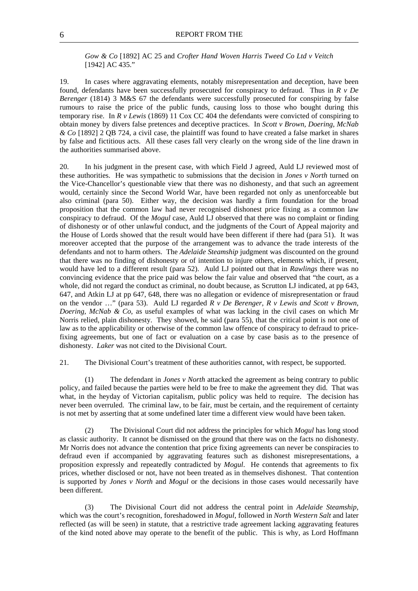*Gow & Co* [1892] AC 25 and *Crofter Hand Woven Harris Tweed Co Ltd v Veitch* [1942] AC 435."

19. In cases where aggravating elements, notably misrepresentation and deception, have been found, defendants have been successfully prosecuted for conspiracy to defraud. Thus in *R v De Berenger* (1814) 3 M&S 67 the defendants were successfully prosecuted for conspiring by false rumours to raise the price of the public funds, causing loss to those who bought during this temporary rise. In *R v Lewis* (1869) 11 Cox CC 404 the defendants were convicted of conspiring to obtain money by divers false pretences and deceptive practices. In *Scott v Brown, Doering, McNab & Co* [1892] 2 QB 724, a civil case, the plaintiff was found to have created a false market in shares by false and fictitious acts. All these cases fall very clearly on the wrong side of the line drawn in the authorities summarised above.

20. In his judgment in the present case, with which Field J agreed, Auld LJ reviewed most of these authorities. He was sympathetic to submissions that the decision in *Jones v North* turned on the Vice-Chancellor's questionable view that there was no dishonesty, and that such an agreement would, certainly since the Second World War, have been regarded not only as unenforceable but also criminal (para 50). Either way, the decision was hardly a firm foundation for the broad proposition that the common law had never recognised dishonest price fixing as a common law conspiracy to defraud. Of the *Mogul* case, Auld LJ observed that there was no complaint or finding of dishonesty or of other unlawful conduct, and the judgments of the Court of Appeal majority and the House of Lords showed that the result would have been different if there had (para 51). It was moreover accepted that the purpose of the arrangement was to advance the trade interests of the defendants and not to harm others. The *Adelaide Steamship* judgment was discounted on the ground that there was no finding of dishonesty or of intention to injure others, elements which, if present, would have led to a different result (para 52). Auld LJ pointed out that in *Rawlings* there was no convincing evidence that the price paid was below the fair value and observed that "the court, as a whole, did not regard the conduct as criminal, no doubt because, as Scrutton LJ indicated, at pp 643, 647, and Atkin LJ at pp 647, 648, there was no allegation or evidence of misrepresentation or fraud on the vendor …" (para 53). Auld LJ regarded *R v De Berenger, R v Lewis and Scott v Brown, Doering, McNab & Co*, as useful examples of what was lacking in the civil cases on which Mr Norris relied, plain dishonesty. They showed, he said (para 55), that the critical point is not one of law as to the applicability or otherwise of the common law offence of conspiracy to defraud to pricefixing agreements, but one of fact or evaluation on a case by case basis as to the presence of dishonesty. *Laker* was not cited to the Divisional Court.

21. The Divisional Court's treatment of these authorities cannot, with respect, be supported.

 (1) The defendant in *Jones v North* attacked the agreement as being contrary to public policy, and failed because the parties were held to be free to make the agreement they did. That was what, in the heyday of Victorian capitalism, public policy was held to require. The decision has never been overruled. The criminal law, to be fair, must be certain, and the requirement of certainty is not met by asserting that at some undefined later time a different view would have been taken.

 (2) The Divisional Court did not address the principles for which *Mogul* has long stood as classic authority. It cannot be dismissed on the ground that there was on the facts no dishonesty. Mr Norris does not advance the contention that price fixing agreements can never be conspiracies to defraud even if accompanied by aggravating features such as dishonest misrepresentations, a proposition expressly and repeatedly contradicted by *Mogul*. He contends that agreements to fix prices, whether disclosed or not, have not been treated as in themselves dishonest. That contention is supported by *Jones v North* and *Mogul* or the decisions in those cases would necessarily have been different.

 (3) The Divisional Court did not address the central point in *Adelaide Steamship*, which was the court's recognition, foreshadowed in *Mogul*, followed in *North Western Salt* and later reflected (as will be seen) in statute, that a restrictive trade agreement lacking aggravating features of the kind noted above may operate to the benefit of the public. This is why, as Lord Hoffmann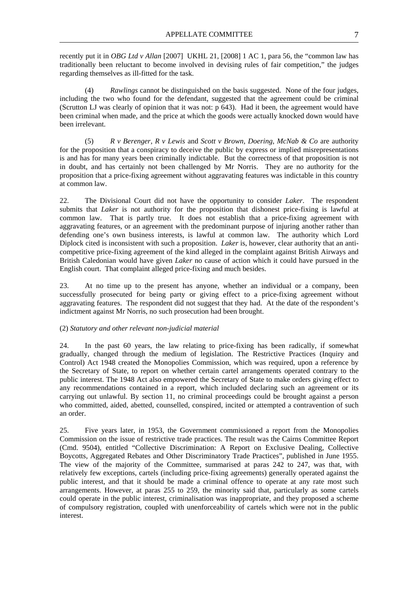recently put it in *OBG Ltd v Allan* [2007] UKHL 21, [2008] 1 AC 1, para 56, the "common law has traditionally been reluctant to become involved in devising rules of fair competition," the judges regarding themselves as ill-fitted for the task.

 (4) *Rawlings* cannot be distinguished on the basis suggested. None of the four judges, including the two who found for the defendant, suggested that the agreement could be criminal (Scrutton LJ was clearly of opinion that it was not: p 643). Had it been, the agreement would have been criminal when made, and the price at which the goods were actually knocked down would have been irrelevant.

 (5) *R v Berenger, R v Lewis* and *Scott v Brown, Doering, McNab & Co* are authority for the proposition that a conspiracy to deceive the public by express or implied misrepresentations is and has for many years been criminally indictable. But the correctness of that proposition is not in doubt, and has certainly not been challenged by Mr Norris. They are no authority for the proposition that a price-fixing agreement without aggravating features was indictable in this country at common law.

22. The Divisional Court did not have the opportunity to consider *Laker*. The respondent submits that *Laker* is not authority for the proposition that dishonest price-fixing is lawful at common law. That is partly true. It does not establish that a price-fixing agreement with aggravating features, or an agreement with the predominant purpose of injuring another rather than defending one's own business interests, is lawful at common law. The authority which Lord Diplock cited is inconsistent with such a proposition. *Laker* is, however, clear authority that an anticompetitive price-fixing agreement of the kind alleged in the complaint against British Airways and British Caledonian would have given *Laker* no cause of action which it could have pursued in the English court. That complaint alleged price-fixing and much besides.

23. At no time up to the present has anyone, whether an individual or a company, been successfully prosecuted for being party or giving effect to a price-fixing agreement without aggravating features. The respondent did not suggest that they had. At the date of the respondent's indictment against Mr Norris, no such prosecution had been brought.

#### (2) *Statutory and other relevant non-judicial material*

24. In the past 60 years, the law relating to price-fixing has been radically, if somewhat gradually, changed through the medium of legislation. The Restrictive Practices (Inquiry and Control) Act 1948 created the Monopolies Commission, which was required, upon a reference by the Secretary of State, to report on whether certain cartel arrangements operated contrary to the public interest. The 1948 Act also empowered the Secretary of State to make orders giving effect to any recommendations contained in a report, which included declaring such an agreement or its carrying out unlawful. By section 11, no criminal proceedings could be brought against a person who committed, aided, abetted, counselled, conspired, incited or attempted a contravention of such an order.

25. Five years later, in 1953, the Government commissioned a report from the Monopolies Commission on the issue of restrictive trade practices. The result was the Cairns Committee Report (Cmd. 9504), entitled "Collective Discrimination: A Report on Exclusive Dealing, Collective Boycotts, Aggregated Rebates and Other Discriminatory Trade Practices", published in June 1955. The view of the majority of the Committee, summarised at paras 242 to 247, was that, with relatively few exceptions, cartels (including price-fixing agreements) generally operated against the public interest, and that it should be made a criminal offence to operate at any rate most such arrangements. However, at paras 255 to 259, the minority said that, particularly as some cartels could operate in the public interest, criminalisation was inappropriate, and they proposed a scheme of compulsory registration, coupled with unenforceability of cartels which were not in the public interest.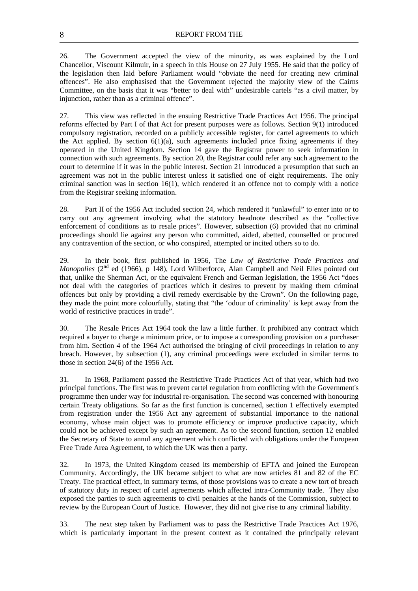26. The Government accepted the view of the minority, as was explained by the Lord Chancellor, Viscount Kilmuir, in a speech in this House on 27 July 1955. He said that the policy of the legislation then laid before Parliament would "obviate the need for creating new criminal offences". He also emphasised that the Government rejected the majority view of the Cairns Committee, on the basis that it was "better to deal with" undesirable cartels "as a civil matter, by injunction, rather than as a criminal offence".

27. This view was reflected in the ensuing Restrictive Trade Practices Act 1956. The principal reforms effected by Part I of that Act for present purposes were as follows. Section 9(1) introduced compulsory registration, recorded on a publicly accessible register, for cartel agreements to which the Act applied. By section  $6(1)(a)$ , such agreements included price fixing agreements if they operated in the United Kingdom. Section 14 gave the Registrar power to seek information in connection with such agreements. By section 20, the Registrar could refer any such agreement to the court to determine if it was in the public interest. Section 21 introduced a presumption that such an agreement was not in the public interest unless it satisfied one of eight requirements. The only criminal sanction was in section 16(1), which rendered it an offence not to comply with a notice from the Registrar seeking information.

28. Part II of the 1956 Act included section 24, which rendered it "unlawful" to enter into or to carry out any agreement involving what the statutory headnote described as the "collective enforcement of conditions as to resale prices". However, subsection (6) provided that no criminal proceedings should lie against any person who committed, aided, abetted, counselled or procured any contravention of the section, or who conspired, attempted or incited others so to do.

29. In their book, first published in 1956, The *Law of Restrictive Trade Practices and Monopolies* (2<sup>nd</sup> ed (1966), p 148), Lord Wilberforce, Alan Campbell and Neil Elles pointed out that, unlike the Sherman Act, or the equivalent French and German legislation, the 1956 Act "does not deal with the categories of practices which it desires to prevent by making them criminal offences but only by providing a civil remedy exercisable by the Crown". On the following page, they made the point more colourfully, stating that "the 'odour of criminality' is kept away from the world of restrictive practices in trade".

30. The Resale Prices Act 1964 took the law a little further. It prohibited any contract which required a buyer to charge a minimum price, or to impose a corresponding provision on a purchaser from him. Section 4 of the 1964 Act authorised the bringing of civil proceedings in relation to any breach. However, by subsection (1), any criminal proceedings were excluded in similar terms to those in section 24(6) of the 1956 Act.

31. In 1968, Parliament passed the Restrictive Trade Practices Act of that year, which had two principal functions. The first was to prevent cartel regulation from conflicting with the Government's programme then under way for industrial re-organisation. The second was concerned with honouring certain Treaty obligations. So far as the first function is concerned, section 1 effectively exempted from registration under the 1956 Act any agreement of substantial importance to the national economy, whose main object was to promote efficiency or improve productive capacity, which could not be achieved except by such an agreement. As to the second function, section 12 enabled the Secretary of State to annul any agreement which conflicted with obligations under the European Free Trade Area Agreement, to which the UK was then a party.

32. In 1973, the United Kingdom ceased its membership of EFTA and joined the European Community. Accordingly, the UK became subject to what are now articles 81 and 82 of the EC Treaty. The practical effect, in summary terms, of those provisions was to create a new tort of breach of statutory duty in respect of cartel agreements which affected intra-Community trade. They also exposed the parties to such agreements to civil penalties at the hands of the Commission, subject to review by the European Court of Justice. However, they did not give rise to any criminal liability.

33. The next step taken by Parliament was to pass the Restrictive Trade Practices Act 1976, which is particularly important in the present context as it contained the principally relevant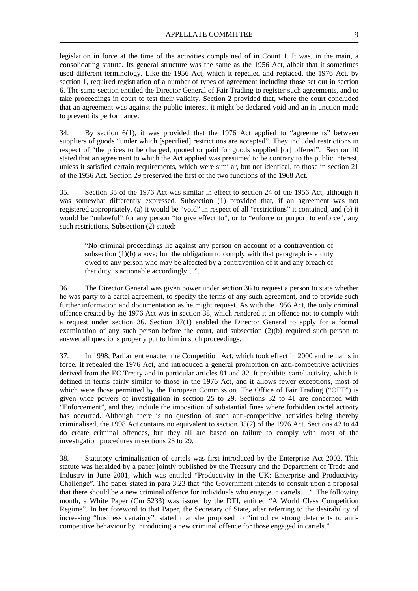legislation in force at the time of the activities complained of in Count 1. It was, in the main, a consolidating statute. Its general structure was the same as the 1956 Act, albeit that it sometimes used different terminology. Like the 1956 Act, which it repealed and replaced, the 1976 Act, by section 1, required registration of a number of types of agreement including those set out in section 6. The same section entitled the Director General of Fair Trading to register such agreements, and to take proceedings in court to test their validity. Section 2 provided that, where the court concluded that an agreement was against the public interest, it might be declared void and an injunction made to prevent its performance.

34. By section 6(1), it was provided that the 1976 Act applied to "agreements" between suppliers of goods "under which [specified] restrictions are accepted". They included restrictions in respect of "the prices to be charged, quoted or paid for goods supplied [or] offered". Section 10 stated that an agreement to which the Act applied was presumed to be contrary to the public interest, unless it satisfied certain requirements, which were similar, but not identical, to those in section 21 of the 1956 Act. Section 29 preserved the first of the two functions of the 1968 Act.

35. Section 35 of the 1976 Act was similar in effect to section 24 of the 1956 Act, although it was somewhat differently expressed. Subsection (1) provided that, if an agreement was not registered appropriately, (a) it would be "void" in respect of all "restrictions" it contained, and (b) it would be "unlawful" for any person "to give effect to", or to "enforce or purport to enforce", any such restrictions. Subsection (2) stated:

"No criminal proceedings lie against any person on account of a contravention of subsection  $(1)(b)$  above; but the obligation to comply with that paragraph is a duty owed to any person who may be affected by a contravention of it and any breach of that duty is actionable accordingly…".

36. The Director General was given power under section 36 to request a person to state whether he was party to a cartel agreement, to specify the terms of any such agreement, and to provide such further information and documentation as he might request. As with the 1956 Act, the only criminal offence created by the 1976 Act was in section 38, which rendered it an offence not to comply with a request under section 36. Section 37(1) enabled the Director General to apply for a formal examination of any such person before the court, and subsection (2)(b) required such person to answer all questions properly put to him in such proceedings.

37. In 1998, Parliament enacted the Competition Act, which took effect in 2000 and remains in force. It repealed the 1976 Act, and introduced a general prohibition on anti-competitive activities derived from the EC Treaty and in particular articles 81 and 82. It prohibits cartel activity, which is defined in terms fairly similar to those in the 1976 Act, and it allows fewer exceptions, most of which were those permitted by the European Commission. The Office of Fair Trading ("OFT") is given wide powers of investigation in section 25 to 29. Sections 32 to 41 are concerned with "Enforcement", and they include the imposition of substantial fines where forbidden cartel activity has occurred. Although there is no question of such anti-competitive activities being thereby criminalised, the 1998 Act contains no equivalent to section 35(2) of the 1976 Act. Sections 42 to 44 do create criminal offences, but they all are based on failure to comply with most of the investigation procedures in sections 25 to 29.

38. Statutory criminalisation of cartels was first introduced by the Enterprise Act 2002. This statute was heralded by a paper jointly published by the Treasury and the Department of Trade and Industry in June 2001, which was entitled "Productivity in the UK: Enterprise and Productivity Challenge". The paper stated in para 3.23 that "the Government intends to consult upon a proposal that there should be a new criminal offence for individuals who engage in cartels…." The following month, a White Paper (Cm 5233) was issued by the DTI, entitled "A World Class Competition Regime". In her foreword to that Paper, the Secretary of State, after referring to the desirability of increasing "business certainty", stated that she proposed to "introduce strong deterrents to anticompetitive behaviour by introducing a new criminal offence for those engaged in cartels."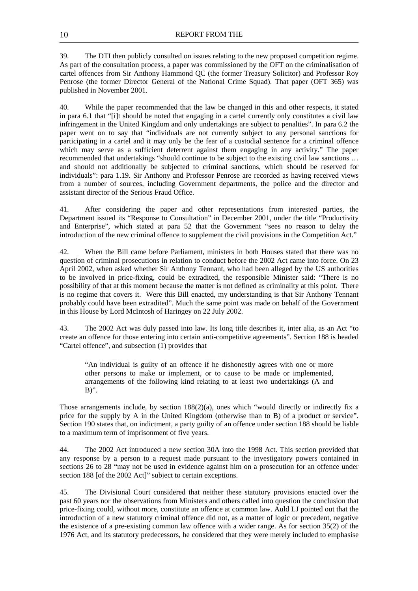39. The DTI then publicly consulted on issues relating to the new proposed competition regime. As part of the consultation process, a paper was commissioned by the OFT on the criminalisation of cartel offences from Sir Anthony Hammond QC (the former Treasury Solicitor) and Professor Roy Penrose (the former Director General of the National Crime Squad). That paper (OFT 365) was published in November 2001.

40. While the paper recommended that the law be changed in this and other respects, it stated in para 6.1 that "[i]t should be noted that engaging in a cartel currently only constitutes a civil law infringement in the United Kingdom and only undertakings are subject to penalties". In para 6.2 the paper went on to say that "individuals are not currently subject to any personal sanctions for participating in a cartel and it may only be the fear of a custodial sentence for a criminal offence which may serve as a sufficient deterrent against them engaging in any activity." The paper recommended that undertakings "should continue to be subject to the existing civil law sanctions … and should not additionally be subjected to criminal sanctions, which should be reserved for individuals": para 1.19. Sir Anthony and Professor Penrose are recorded as having received views from a number of sources, including Government departments, the police and the director and assistant director of the Serious Fraud Office.

41. After considering the paper and other representations from interested parties, the Department issued its "Response to Consultation" in December 2001, under the title "Productivity and Enterprise", which stated at para 52 that the Government "sees no reason to delay the introduction of the new criminal offence to supplement the civil provisions in the Competition Act."

42. When the Bill came before Parliament, ministers in both Houses stated that there was no question of criminal prosecutions in relation to conduct before the 2002 Act came into force. On 23 April 2002, when asked whether Sir Anthony Tennant, who had been alleged by the US authorities to be involved in price-fixing, could be extradited, the responsible Minister said: "There is no possibility of that at this moment because the matter is not defined as criminality at this point. There is no regime that covers it. Were this Bill enacted, my understanding is that Sir Anthony Tennant probably could have been extradited". Much the same point was made on behalf of the Government in this House by Lord McIntosh of Haringey on 22 July 2002.

43. The 2002 Act was duly passed into law. Its long title describes it, inter alia, as an Act "to create an offence for those entering into certain anti-competitive agreements". Section 188 is headed "Cartel offence", and subsection (1) provides that

"An individual is guilty of an offence if he dishonestly agrees with one or more other persons to make or implement, or to cause to be made or implemented, arrangements of the following kind relating to at least two undertakings (A and B)".

Those arrangements include, by section 188(2)(a), ones which "would directly or indirectly fix a price for the supply by A in the United Kingdom (otherwise than to B) of a product or service". Section 190 states that, on indictment, a party guilty of an offence under section 188 should be liable to a maximum term of imprisonment of five years.

44. The 2002 Act introduced a new section 30A into the 1998 Act. This section provided that any response by a person to a request made pursuant to the investigatory powers contained in sections 26 to 28 "may not be used in evidence against him on a prosecution for an offence under section 188 [of the 2002 Act]" subject to certain exceptions.

45. The Divisional Court considered that neither these statutory provisions enacted over the past 60 years nor the observations from Ministers and others called into question the conclusion that price-fixing could, without more, constitute an offence at common law. Auld LJ pointed out that the introduction of a new statutory criminal offence did not, as a matter of logic or precedent, negative the existence of a pre-existing common law offence with a wider range. As for section 35(2) of the 1976 Act, and its statutory predecessors, he considered that they were merely included to emphasise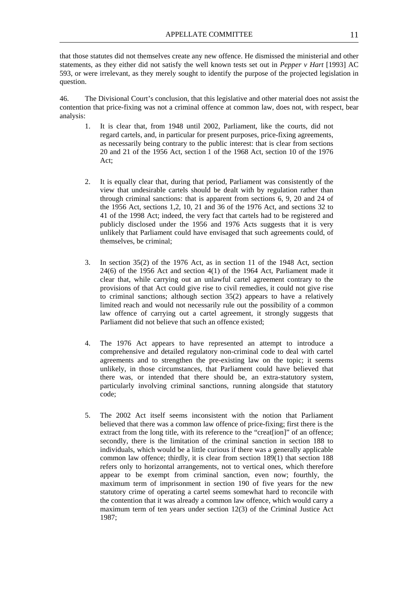that those statutes did not themselves create any new offence. He dismissed the ministerial and other statements, as they either did not satisfy the well known tests set out in *Pepper v Hart* [1993] AC 593, or were irrelevant, as they merely sought to identify the purpose of the projected legislation in question.

46. The Divisional Court's conclusion, that this legislative and other material does not assist the contention that price-fixing was not a criminal offence at common law, does not, with respect, bear analysis:

- 1. It is clear that, from 1948 until 2002, Parliament, like the courts, did not regard cartels, and, in particular for present purposes, price-fixing agreements, as necessarily being contrary to the public interest: that is clear from sections 20 and 21 of the 1956 Act, section 1 of the 1968 Act, section 10 of the 1976 Act;
- 2. It is equally clear that, during that period, Parliament was consistently of the view that undesirable cartels should be dealt with by regulation rather than through criminal sanctions: that is apparent from sections 6, 9, 20 and 24 of the 1956 Act, sections 1,2, 10, 21 and 36 of the 1976 Act, and sections 32 to 41 of the 1998 Act; indeed, the very fact that cartels had to be registered and publicly disclosed under the 1956 and 1976 Acts suggests that it is very unlikely that Parliament could have envisaged that such agreements could, of themselves, be criminal;
- 3. In section 35(2) of the 1976 Act, as in section 11 of the 1948 Act, section 24(6) of the 1956 Act and section 4(1) of the 1964 Act, Parliament made it clear that, while carrying out an unlawful cartel agreement contrary to the provisions of that Act could give rise to civil remedies, it could not give rise to criminal sanctions; although section 35(2) appears to have a relatively limited reach and would not necessarily rule out the possibility of a common law offence of carrying out a cartel agreement, it strongly suggests that Parliament did not believe that such an offence existed;
- 4. The 1976 Act appears to have represented an attempt to introduce a comprehensive and detailed regulatory non-criminal code to deal with cartel agreements and to strengthen the pre-existing law on the topic; it seems unlikely, in those circumstances, that Parliament could have believed that there was, or intended that there should be, an extra-statutory system, particularly involving criminal sanctions, running alongside that statutory code;
- 5. The 2002 Act itself seems inconsistent with the notion that Parliament believed that there was a common law offence of price-fixing; first there is the extract from the long title, with its reference to the "creat[ion]" of an offence; secondly, there is the limitation of the criminal sanction in section 188 to individuals, which would be a little curious if there was a generally applicable common law offence; thirdly, it is clear from section 189(1) that section 188 refers only to horizontal arrangements, not to vertical ones, which therefore appear to be exempt from criminal sanction, even now; fourthly, the maximum term of imprisonment in section 190 of five years for the new statutory crime of operating a cartel seems somewhat hard to reconcile with the contention that it was already a common law offence, which would carry a maximum term of ten years under section 12(3) of the Criminal Justice Act 1987;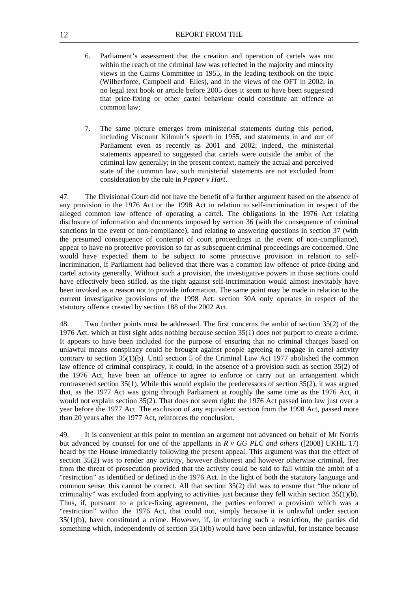- 6. Parliament's assessment that the creation and operation of cartels was not within the reach of the criminal law was reflected in the majority and minority views in the Cairns Committee in 1955, in the leading textbook on the topic (Wilberforce, Campbell and Elles), and in the views of the OFT in 2002; in no legal text book or article before 2005 does it seem to have been suggested that price-fixing or other cartel behaviour could constitute an offence at common law;
- 7. The same picture emerges from ministerial statements during this period, including Viscount Kilmuir's speech in 1955, and statements in and out of Parliament even as recently as 2001 and 2002; indeed, the ministerial statements appeared to suggested that cartels were outside the ambit of the criminal law generally; in the present context, namely the actual and perceived state of the common law, such ministerial statements are not excluded from consideration by the rule in *Pepper v Hart*.

47. The Divisional Court did not have the benefit of a further argument based on the absence of any provision in the 1976 Act or the 1998 Act in relation to self-incrimination in respect of the alleged common law offence of operating a cartel. The obligations in the 1976 Act relating disclosure of information and documents imposed by section 36 (with the consequence of criminal sanctions in the event of non-compliance), and relating to answering questions in section 37 (with the presumed consequence of contempt of court proceedings in the event of non-compliance), appear to have no protective provision so far as subsequent criminal proceedings are concerned. One would have expected them to be subject to some protective provision in relation to selfincrimination, if Parliament had believed that there was a common law offence of price-fixing and cartel activity generally. Without such a provision, the investigative powers in those sections could have effectively been stifled, as the right against self-incrimination would almost inevitably have been invoked as a reason not to provide information. The same point may be made in relation to the current investigative provisions of the 1998 Act: section 30A only operates in respect of the statutory offence created by section 188 of the 2002 Act.

48. Two further points must be addressed. The first concerns the ambit of section 35(2) of the 1976 Act, which at first sight adds nothing because section 35(1) does not purport to create a crime. It appears to have been included for the purpose of ensuring that no criminal charges based on unlawful means conspiracy could be brought against people agreeing to engage in cartel activity contrary to section 35(1)(b). Until section 5 of the Criminal Law Act 1977 abolished the common law offence of criminal conspiracy, it could, in the absence of a provision such as section 35(2) of the 1976 Act, have been an offence to agree to enforce or carry out an arrangement which contravened section 35(1). While this would explain the predecessors of section 35(2), it was argued that, as the 1977 Act was going through Parliament at roughly the same time as the 1976 Act, it would not explain section 35(2). That does not seem right: the 1976 Act passed into law just over a year before the 1977 Act. The exclusion of any equivalent section from the 1998 Act, passed more than 20 years after the 1977 Act, reinforces the conclusion.

49. It is convenient at this point to mention an argument not advanced on behalf of Mr Norris but advanced by counsel for one of the appellants in *R v GG PLC and others* ([2008] UKHL 17) heard by the House immediately following the present appeal. This argument was that the effect of section 35(2) was to render any activity, however dishonest and however otherwise criminal, free from the threat of prosecution provided that the activity could be said to fall within the ambit of a "restriction" as identified or defined in the 1976 Act. In the light of both the statutory language and common sense, this cannot be correct. All that section 35(2) did was to ensure that "the odour of criminality" was excluded from applying to activities just because they fell within section 35(1)(b). Thus, if, pursuant to a price-fixing agreement, the parties enforced a provision which was a "restriction" within the 1976 Act, that could not, simply because it is unlawful under section 35(1)(b), have constituted a crime. However, if, in enforcing such a restriction, the parties did something which, independently of section 35(1)(b) would have been unlawful, for instance because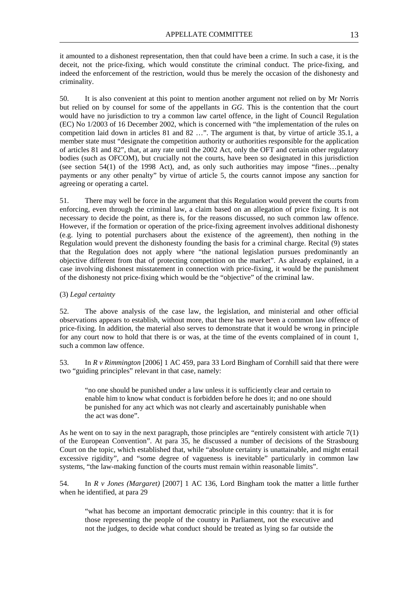it amounted to a dishonest representation, then that could have been a crime. In such a case, it is the deceit, not the price-fixing, which would constitute the criminal conduct. The price-fixing, and indeed the enforcement of the restriction, would thus be merely the occasion of the dishonesty and criminality.

50. It is also convenient at this point to mention another argument not relied on by Mr Norris but relied on by counsel for some of the appellants in *GG*. This is the contention that the court would have no jurisdiction to try a common law cartel offence, in the light of Council Regulation (EC) No 1/2003 of 16 December 2002, which is concerned with "the implementation of the rules on competition laid down in articles 81 and 82 …". The argument is that, by virtue of article 35.1, a member state must "designate the competition authority or authorities responsible for the application of articles 81 and 82", that, at any rate until the 2002 Act, only the OFT and certain other regulatory bodies (such as OFCOM), but crucially not the courts, have been so designated in this jurisdiction (see section 54(1) of the 1998 Act), and, as only such authorities may impose "fines…penalty payments or any other penalty" by virtue of article 5, the courts cannot impose any sanction for agreeing or operating a cartel.

51. There may well be force in the argument that this Regulation would prevent the courts from enforcing, even through the criminal law, a claim based on an allegation of price fixing. It is not necessary to decide the point, as there is, for the reasons discussed, no such common law offence. However, if the formation or operation of the price-fixing agreement involves additional dishonesty (e.g. lying to potential purchasers about the existence of the agreement), then nothing in the Regulation would prevent the dishonesty founding the basis for a criminal charge. Recital (9) states that the Regulation does not apply where "the national legislation pursues predominantly an objective different from that of protecting competition on the market". As already explained, in a case involving dishonest misstatement in connection with price-fixing, it would be the punishment of the dishonesty not price-fixing which would be the "objective" of the criminal law.

#### (3) *Legal certainty*

52. The above analysis of the case law, the legislation, and ministerial and other official observations appears to establish, without more, that there has never been a common law offence of price-fixing. In addition, the material also serves to demonstrate that it would be wrong in principle for any court now to hold that there is or was, at the time of the events complained of in count 1, such a common law offence.

53. In *R v Rimmington* [2006] 1 AC 459, para 33 Lord Bingham of Cornhill said that there were two "guiding principles" relevant in that case, namely:

"no one should be punished under a law unless it is sufficiently clear and certain to enable him to know what conduct is forbidden before he does it; and no one should be punished for any act which was not clearly and ascertainably punishable when the act was done".

As he went on to say in the next paragraph, those principles are "entirely consistent with article 7(1) of the European Convention". At para 35, he discussed a number of decisions of the Strasbourg Court on the topic, which established that, while "absolute certainty is unattainable, and might entail excessive rigidity", and "some degree of vagueness is inevitable" particularly in common law systems, "the law-making function of the courts must remain within reasonable limits".

54. In *R v Jones (Margaret)* [2007] 1 AC 136, Lord Bingham took the matter a little further when he identified, at para 29

"what has become an important democratic principle in this country: that it is for those representing the people of the country in Parliament, not the executive and not the judges, to decide what conduct should be treated as lying so far outside the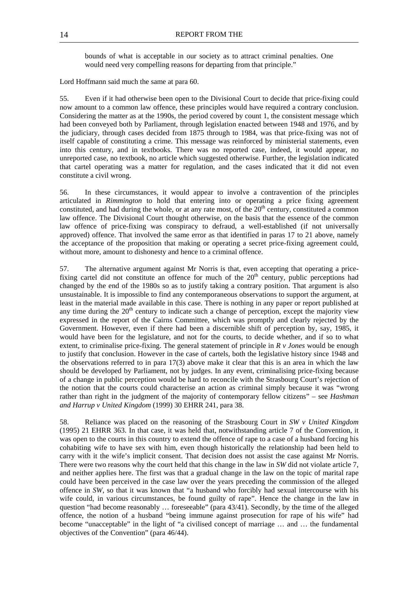bounds of what is acceptable in our society as to attract criminal penalties. One would need very compelling reasons for departing from that principle."

Lord Hoffmann said much the same at para 60.

55. Even if it had otherwise been open to the Divisional Court to decide that price-fixing could now amount to a common law offence, these principles would have required a contrary conclusion. Considering the matter as at the 1990s, the period covered by count 1, the consistent message which had been conveyed both by Parliament, through legislation enacted between 1948 and 1976, and by the judiciary, through cases decided from 1875 through to 1984, was that price-fixing was not of itself capable of constituting a crime. This message was reinforced by ministerial statements, even into this century, and in textbooks. There was no reported case, indeed, it would appear, no unreported case, no textbook, no article which suggested otherwise. Further, the legislation indicated that cartel operating was a matter for regulation, and the cases indicated that it did not even constitute a civil wrong.

56. In these circumstances, it would appear to involve a contravention of the principles articulated in *Rimmington* to hold that entering into or operating a price fixing agreement constituted, and had during the whole, or at any rate most, of the  $20<sup>th</sup>$  century, constituted a common law offence. The Divisional Court thought otherwise, on the basis that the essence of the common law offence of price-fixing was conspiracy to defraud, a well-established (if not universally approved) offence. That involved the same error as that identified in paras 17 to 21 above, namely the acceptance of the proposition that making or operating a secret price-fixing agreement could, without more, amount to dishonesty and hence to a criminal offence.

57. The alternative argument against Mr Norris is that, even accepting that operating a pricefixing cartel did not constitute an offence for much of the  $20<sup>th</sup>$  century, public perceptions had changed by the end of the 1980s so as to justify taking a contrary position. That argument is also unsustainable. It is impossible to find any contemporaneous observations to support the argument, at least in the material made available in this case. There is nothing in any paper or report published at any time during the  $20<sup>th</sup>$  century to indicate such a change of perception, except the majority view expressed in the report of the Cairns Committee, which was promptly and clearly rejected by the Government. However, even if there had been a discernible shift of perception by, say, 1985, it would have been for the legislature, and not for the courts, to decide whether, and if so to what extent, to criminalise price-fixing. The general statement of principle in *R v Jones* would be enough to justify that conclusion. However in the case of cartels, both the legislative history since 1948 and the observations referred to in para 17(3) above make it clear that this is an area in which the law should be developed by Parliament, not by judges. In any event, criminalising price-fixing because of a change in public perception would be hard to reconcile with the Strasbourg Court's rejection of the notion that the courts could characterise an action as criminal simply because it was "wrong rather than right in the judgment of the majority of contemporary fellow citizens" – see *Hashman and Harrup v United Kingdom* (1999) 30 EHRR 241, para 38.

58. Reliance was placed on the reasoning of the Strasbourg Court in *SW v United Kingdom* (1995) 21 EHRR 363. In that case, it was held that, notwithstanding article 7 of the Convention, it was open to the courts in this country to extend the offence of rape to a case of a husband forcing his cohabiting wife to have sex with him, even though historically the relationship had been held to carry with it the wife's implicit consent. That decision does not assist the case against Mr Norris. There were two reasons why the court held that this change in the law in *SW* did not violate article 7, and neither applies here. The first was that a gradual change in the law on the topic of marital rape could have been perceived in the case law over the years preceding the commission of the alleged offence in *SW*, so that it was known that "a husband who forcibly had sexual intercourse with his wife could, in various circumstances, be found guilty of rape". Hence the change in the law in question "had become reasonably ... foreseeable" (para 43/41). Secondly, by the time of the alleged offence, the notion of a husband "being immune against prosecution for rape of his wife" had become "unacceptable" in the light of "a civilised concept of marriage … and … the fundamental objectives of the Convention" (para 46/44).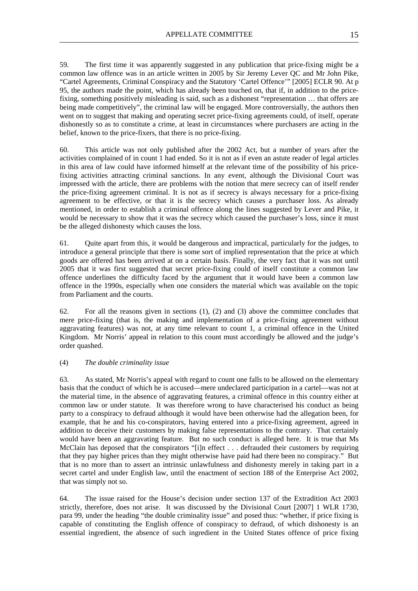59. The first time it was apparently suggested in any publication that price-fixing might be a common law offence was in an article written in 2005 by Sir Jeremy Lever QC and Mr John Pike, "Cartel Agreements, Criminal Conspiracy and the Statutory 'Cartel Offence'" [2005] ECLR 90. At p 95, the authors made the point, which has already been touched on, that if, in addition to the pricefixing, something positively misleading is said, such as a dishonest "representation … that offers are being made competitively", the criminal law will be engaged. More controversially, the authors then went on to suggest that making and operating secret price-fixing agreements could, of itself, operate dishonestly so as to constitute a crime, at least in circumstances where purchasers are acting in the belief, known to the price-fixers, that there is no price-fixing.

60. This article was not only published after the 2002 Act, but a number of years after the activities complained of in count 1 had ended. So it is not as if even an astute reader of legal articles in this area of law could have informed himself at the relevant time of the possibility of his pricefixing activities attracting criminal sanctions. In any event, although the Divisional Court was impressed with the article, there are problems with the notion that mere secrecy can of itself render the price-fixing agreement criminal. It is not as if secrecy is always necessary for a price-fixing agreement to be effective, or that it is the secrecy which causes a purchaser loss. As already mentioned, in order to establish a criminal offence along the lines suggested by Lever and Pike, it would be necessary to show that it was the secrecy which caused the purchaser's loss, since it must be the alleged dishonesty which causes the loss.

61. Quite apart from this, it would be dangerous and impractical, particularly for the judges, to introduce a general principle that there is some sort of implied representation that the price at which goods are offered has been arrived at on a certain basis. Finally, the very fact that it was not until 2005 that it was first suggested that secret price-fixing could of itself constitute a common law offence underlines the difficulty faced by the argument that it would have been a common law offence in the 1990s, especially when one considers the material which was available on the topic from Parliament and the courts.

62. For all the reasons given in sections (1), (2) and (3) above the committee concludes that mere price-fixing (that is, the making and implementation of a price-fixing agreement without aggravating features) was not, at any time relevant to count 1, a criminal offence in the United Kingdom. Mr Norris' appeal in relation to this count must accordingly be allowed and the judge's order quashed.

#### (4) *The double criminality issue*

63. As stated, Mr Norris's appeal with regard to count one falls to be allowed on the elementary basis that the conduct of which he is accused—mere undeclared participation in a cartel—was not at the material time, in the absence of aggravating features, a criminal offence in this country either at common law or under statute. It was therefore wrong to have characterised his conduct as being party to a conspiracy to defraud although it would have been otherwise had the allegation been, for example, that he and his co-conspirators, having entered into a price-fixing agreement, agreed in addition to deceive their customers by making false representations to the contrary. That certainly would have been an aggravating feature. But no such conduct is alleged here. It is true that Ms McClain has deposed that the conspirators "[i]n effect . . . defrauded their customers by requiring that they pay higher prices than they might otherwise have paid had there been no conspiracy." But that is no more than to assert an intrinsic unlawfulness and dishonesty merely in taking part in a secret cartel and under English law, until the enactment of section 188 of the Enterprise Act 2002, that was simply not so.

64. The issue raised for the House's decision under section 137 of the Extradition Act 2003 strictly, therefore, does not arise. It was discussed by the Divisional Court [2007] 1 WLR 1730, para 99, under the heading "the double criminality issue" and posed thus: "whether, if price fixing is capable of constituting the English offence of conspiracy to defraud, of which dishonesty is an essential ingredient, the absence of such ingredient in the United States offence of price fixing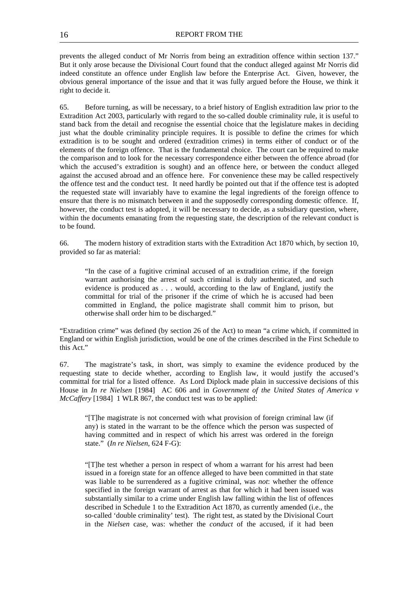prevents the alleged conduct of Mr Norris from being an extradition offence within section 137." But it only arose because the Divisional Court found that the conduct alleged against Mr Norris did indeed constitute an offence under English law before the Enterprise Act. Given, however, the obvious general importance of the issue and that it was fully argued before the House, we think it right to decide it.

65. Before turning, as will be necessary, to a brief history of English extradition law prior to the Extradition Act 2003, particularly with regard to the so-called double criminality rule, it is useful to stand back from the detail and recognise the essential choice that the legislature makes in deciding just what the double criminality principle requires. It is possible to define the crimes for which extradition is to be sought and ordered (extradition crimes) in terms either of conduct or of the elements of the foreign offence. That is the fundamental choice. The court can be required to make the comparison and to look for the necessary correspondence either between the offence abroad (for which the accused's extradition is sought) and an offence here, or between the conduct alleged against the accused abroad and an offence here. For convenience these may be called respectively the offence test and the conduct test. It need hardly be pointed out that if the offence test is adopted the requested state will invariably have to examine the legal ingredients of the foreign offence to ensure that there is no mismatch between it and the supposedly corresponding domestic offence. If, however, the conduct test is adopted, it will be necessary to decide, as a subsidiary question, where, within the documents emanating from the requesting state, the description of the relevant conduct is to be found.

66. The modern history of extradition starts with the Extradition Act 1870 which, by section 10, provided so far as material:

"In the case of a fugitive criminal accused of an extradition crime, if the foreign warrant authorising the arrest of such criminal is duly authenticated, and such evidence is produced as . . . would, according to the law of England, justify the committal for trial of the prisoner if the crime of which he is accused had been committed in England, the police magistrate shall commit him to prison, but otherwise shall order him to be discharged."

"Extradition crime" was defined (by section 26 of the Act) to mean "a crime which, if committed in England or within English jurisdiction, would be one of the crimes described in the First Schedule to this Act."

67. The magistrate's task, in short, was simply to examine the evidence produced by the requesting state to decide whether, according to English law, it would justify the accused's committal for trial for a listed offence. As Lord Diplock made plain in successive decisions of this House in *In re Nielsen* [1984] AC 606 and in *Government of the United States of America v McCaffery* [1984] 1 WLR 867, the conduct test was to be applied:

"[T]he magistrate is not concerned with what provision of foreign criminal law (if any) is stated in the warrant to be the offence which the person was suspected of having committed and in respect of which his arrest was ordered in the foreign state." (*In re Nielsen*, 624 F-G):

"[T]he test whether a person in respect of whom a warrant for his arrest had been issued in a foreign state for an offence alleged to have been committed in that state was liable to be surrendered as a fugitive criminal, was *not*: whether the offence specified in the foreign warrant of arrest as that for which it had been issued was substantially similar to a crime under English law falling within the list of offences described in Schedule 1 to the Extradition Act 1870, as currently amended (i.e., the so-called 'double criminality' test). The right test, as stated by the Divisional Court in the *Nielsen* case, was: whether the *conduct* of the accused, if it had been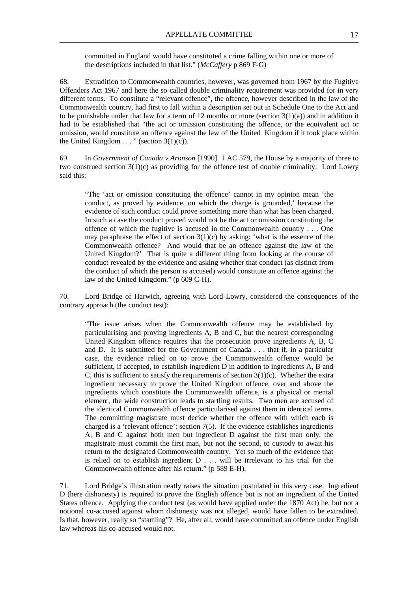committed in England would have constituted a crime falling within one or more of the descriptions included in that list." (*McCaffery* p 869 F-G)

68. Extradition to Commonwealth countries, however, was governed from 1967 by the Fugitive Offenders Act 1967 and here the so-called double criminality requirement was provided for in very different terms. To constitute a "relevant offence", the offence, however described in the law of the Commonwealth country, had first to fall within a description set out in Schedule One to the Act and to be punishable under that law for a term of 12 months or more (section  $3(1)(a)$ ) and in addition it had to be established that "the act or omission constituting the offence, or the equivalent act or omission, would constitute an offence against the law of the United Kingdom if it took place within the United Kingdom  $\ldots$  " (section 3(1)(c)).

69. In *Government of Canada v Aronson* [1990] 1 AC 579, the House by a majority of three to two construed section  $3(1)(c)$  as providing for the offence test of double criminality. Lord Lowry said this:

"The 'act or omission constituting the offence' cannot in my opinion mean 'the conduct, as proved by evidence, on which the charge is grounded,' because the evidence of such conduct could prove something more than what has been charged. In such a case the conduct proved would not be the act or omission constituting the offence of which the fugitive is accused in the Commonwealth country . . . One may paraphrase the effect of section  $3(1)(c)$  by asking: 'what is the essence of the Commonwealth offence? And would that be an offence against the law of the United Kingdom?' That is quite a different thing from looking at the course of conduct revealed by the evidence and asking whether that conduct (as distinct from the conduct of which the person is accused) would constitute an offence against the law of the United Kingdom." (p 609 C-H).

70. Lord Bridge of Harwich, agreeing with Lord Lowry, considered the consequences of the contrary approach (the conduct test):

"The issue arises when the Commonwealth offence may be established by particularising and proving ingredients A, B and C, but the nearest corresponding United Kingdom offence requires that the prosecution prove ingredients A, B, C and D. It is submitted for the Government of Canada . . . that if, in a particular case, the evidence relied on to prove the Commonwealth offence would be sufficient, if accepted, to establish ingredient D in addition to ingredients A, B and C, this is sufficient to satisfy the requirements of section  $3(1)(c)$ . Whether the extra ingredient necessary to prove the United Kingdom offence, over and above the ingredients which constitute the Commonwealth offence, is a physical or mental element, the wide construction leads to startling results. Two men are accused of the identical Commonwealth offence particularised against them in identical terms. The committing magistrate must decide whether the offence with which each is charged is a 'relevant offence': section 7(5). If the evidence establishes ingredients A, B and C against both men but ingredient D against the first man only, the magistrate must commit the first man, but not the second, to custody to await his return to the designated Commonwealth country. Yet so much of the evidence that is relied on to establish ingredient D . . . will be irrelevant to his trial for the Commonwealth offence after his return." (p 589 E-H).

71. Lord Bridge's illustration neatly raises the situation postulated in this very case. Ingredient D (here dishonesty) is required to prove the English offence but is not an ingredient of the United States offence. Applying the conduct test (as would have applied under the 1870 Act) he, but not a notional co-accused against whom dishonesty was not alleged, would have fallen to be extradited. Is that, however, really so "startling"? He, after all, would have committed an offence under English law whereas his co-accused would not.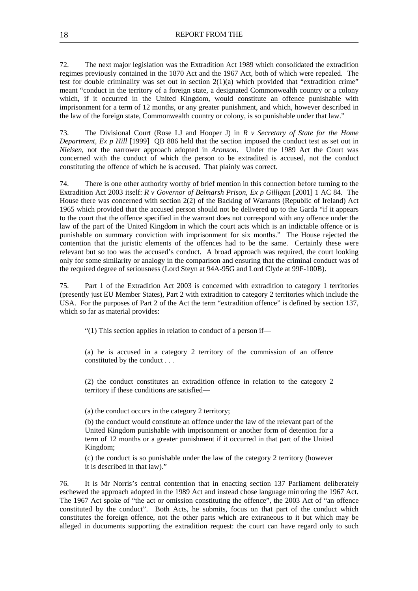72. The next major legislation was the Extradition Act 1989 which consolidated the extradition regimes previously contained in the 1870 Act and the 1967 Act, both of which were repealed. The test for double criminality was set out in section 2(1)(a) which provided that "extradition crime" meant "conduct in the territory of a foreign state, a designated Commonwealth country or a colony which, if it occurred in the United Kingdom, would constitute an offence punishable with imprisonment for a term of 12 months, or any greater punishment, and which, however described in the law of the foreign state, Commonwealth country or colony, is so punishable under that law."

73. The Divisional Court (Rose LJ and Hooper J) in *R v Secretary of State for the Home Department, Ex p Hill* [1999] QB 886 held that the section imposed the conduct test as set out in *Nielsen*, not the narrower approach adopted in *Aronson*. Under the 1989 Act the Court was concerned with the conduct of which the person to be extradited is accused, not the conduct constituting the offence of which he is accused. That plainly was correct.

74. There is one other authority worthy of brief mention in this connection before turning to the Extradition Act 2003 itself: *R v Governor of Belmarsh Prison, Ex p Gilligan* [2001] 1 AC 84. The House there was concerned with section 2(2) of the Backing of Warrants (Republic of Ireland) Act 1965 which provided that the accused person should not be delivered up to the Garda "if it appears to the court that the offence specified in the warrant does not correspond with any offence under the law of the part of the United Kingdom in which the court acts which is an indictable offence or is punishable on summary conviction with imprisonment for six months." The House rejected the contention that the juristic elements of the offences had to be the same. Certainly these were relevant but so too was the accused's conduct. A broad approach was required, the court looking only for some similarity or analogy in the comparison and ensuring that the criminal conduct was of the required degree of seriousness (Lord Steyn at 94A-95G and Lord Clyde at 99F-100B).

75. Part 1 of the Extradition Act 2003 is concerned with extradition to category 1 territories (presently just EU Member States), Part 2 with extradition to category 2 territories which include the USA. For the purposes of Part 2 of the Act the term "extradition offence" is defined by section 137, which so far as material provides:

"(1) This section applies in relation to conduct of a person if—

(a) he is accused in a category 2 territory of the commission of an offence constituted by the conduct . . .

(2) the conduct constitutes an extradition offence in relation to the category 2 territory if these conditions are satisfied—

(a) the conduct occurs in the category 2 territory;

(b) the conduct would constitute an offence under the law of the relevant part of the United Kingdom punishable with imprisonment or another form of detention for a term of 12 months or a greater punishment if it occurred in that part of the United Kingdom;

(c) the conduct is so punishable under the law of the category 2 territory (however it is described in that law)."

76. It is Mr Norris's central contention that in enacting section 137 Parliament deliberately eschewed the approach adopted in the 1989 Act and instead chose language mirroring the 1967 Act. The 1967 Act spoke of "the act or omission constituting the offence", the 2003 Act of "an offence constituted by the conduct". Both Acts, he submits, focus on that part of the conduct which constitutes the foreign offence, not the other parts which are extraneous to it but which may be alleged in documents supporting the extradition request: the court can have regard only to such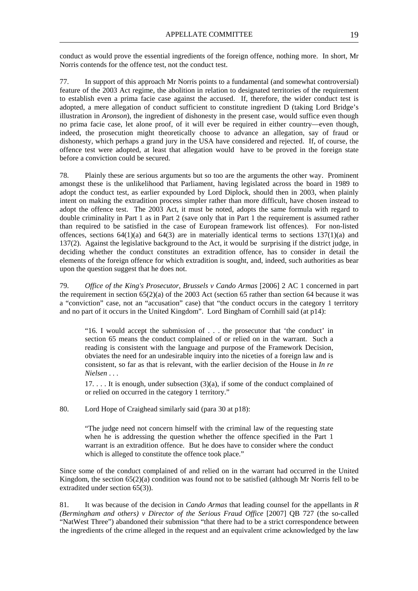conduct as would prove the essential ingredients of the foreign offence, nothing more. In short, Mr Norris contends for the offence test, not the conduct test.

77. In support of this approach Mr Norris points to a fundamental (and somewhat controversial) feature of the 2003 Act regime, the abolition in relation to designated territories of the requirement to establish even a prima facie case against the accused. If, therefore, the wider conduct test is adopted, a mere allegation of conduct sufficient to constitute ingredient D (taking Lord Bridge's illustration in *Aronson*), the ingredient of dishonesty in the present case, would suffice even though no prima facie case, let alone proof, of it will ever be required in either country—even though, indeed, the prosecution might theoretically choose to advance an allegation, say of fraud or dishonesty, which perhaps a grand jury in the USA have considered and rejected. If, of course, the offence test were adopted, at least that allegation would have to be proved in the foreign state before a conviction could be secured.

78. Plainly these are serious arguments but so too are the arguments the other way. Prominent amongst these is the unlikelihood that Parliament, having legislated across the board in 1989 to adopt the conduct test, as earlier expounded by Lord Diplock, should then in 2003, when plainly intent on making the extradition process simpler rather than more difficult, have chosen instead to adopt the offence test. The 2003 Act, it must be noted, adopts the same formula with regard to double criminality in Part 1 as in Part 2 (save only that in Part 1 the requirement is assumed rather than required to be satisfied in the case of European framework list offences). For non-listed offences, sections  $64(1)(a)$  and  $64(3)$  are in materially identical terms to sections  $137(1)(a)$  and 137(2). Against the legislative background to the Act, it would be surprising if the district judge, in deciding whether the conduct constitutes an extradition offence, has to consider in detail the elements of the foreign offence for which extradition is sought, and, indeed, such authorities as bear upon the question suggest that he does not.

79. *Office of the King's Prosecutor, Brussels v Cando Armas* [2006] 2 AC 1 concerned in part the requirement in section 65(2)(a) of the 2003 Act (section 65 rather than section 64 because it was a "conviction" case, not an "accusation" case) that "the conduct occurs in the category 1 territory and no part of it occurs in the United Kingdom". Lord Bingham of Cornhill said (at  $p14$ ):

"16. I would accept the submission of . . . the prosecutor that 'the conduct' in section 65 means the conduct complained of or relied on in the warrant. Such a reading is consistent with the language and purpose of the Framework Decision, obviates the need for an undesirable inquiry into the niceties of a foreign law and is consistent, so far as that is relevant, with the earlier decision of the House in *In re Nielsen* . . .

 $17. \ldots$  It is enough, under subsection  $(3)(a)$ , if some of the conduct complained of or relied on occurred in the category 1 territory."

80. Lord Hope of Craighead similarly said (para 30 at p18):

"The judge need not concern himself with the criminal law of the requesting state when he is addressing the question whether the offence specified in the Part 1 warrant is an extradition offence. But he does have to consider where the conduct which is alleged to constitute the offence took place."

Since some of the conduct complained of and relied on in the warrant had occurred in the United Kingdom, the section 65(2)(a) condition was found not to be satisfied (although Mr Norris fell to be extradited under section 65(3)).

81. It was because of the decision in *Cando Armas* that leading counsel for the appellants in *R (Bermingham and others) v Director of the Serious Fraud Office* [2007] QB 727 (the so-called "NatWest Three") abandoned their submission "that there had to be a strict correspondence between the ingredients of the crime alleged in the request and an equivalent crime acknowledged by the law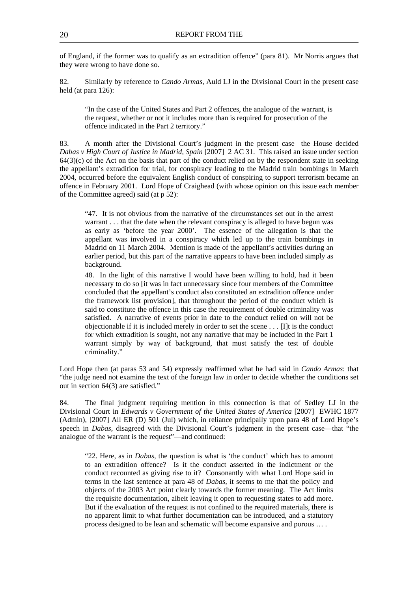of England, if the former was to qualify as an extradition offence" (para 81). Mr Norris argues that they were wrong to have done so.

82. Similarly by reference to *Cando Armas*, Auld LJ in the Divisional Court in the present case held (at para 126):

"In the case of the United States and Part 2 offences, the analogue of the warrant, is the request, whether or not it includes more than is required for prosecution of the offence indicated in the Part 2 territory."

83. A month after the Divisional Court's judgment in the present case the House decided *Dabas v High Court of Justice in Madrid, Spain* [2007] 2 AC 31. This raised an issue under section  $64(3)(c)$  of the Act on the basis that part of the conduct relied on by the respondent state in seeking the appellant's extradition for trial, for conspiracy leading to the Madrid train bombings in March 2004, occurred before the equivalent English conduct of conspiring to support terrorism became an offence in February 2001. Lord Hope of Craighead (with whose opinion on this issue each member of the Committee agreed) said (at p 52):

"47. It is not obvious from the narrative of the circumstances set out in the arrest warrant . . . that the date when the relevant conspiracy is alleged to have begun was as early as 'before the year 2000'. The essence of the allegation is that the appellant was involved in a conspiracy which led up to the train bombings in Madrid on 11 March 2004. Mention is made of the appellant's activities during an earlier period, but this part of the narrative appears to have been included simply as background.

48. In the light of this narrative I would have been willing to hold, had it been necessary to do so [it was in fact unnecessary since four members of the Committee concluded that the appellant's conduct also constituted an extradition offence under the framework list provision], that throughout the period of the conduct which is said to constitute the offence in this case the requirement of double criminality was satisfied. A narrative of events prior in date to the conduct relied on will not be objectionable if it is included merely in order to set the scene . . . [I]t is the conduct for which extradition is sought, not any narrative that may be included in the Part 1 warrant simply by way of background, that must satisfy the test of double criminality."

Lord Hope then (at paras 53 and 54) expressly reaffirmed what he had said in *Cando Armas*: that "the judge need not examine the text of the foreign law in order to decide whether the conditions set out in section 64(3) are satisfied."

84. The final judgment requiring mention in this connection is that of Sedley LJ in the Divisional Court in *Edwards v Government of the United States of America* [2007] EWHC 1877 (Admin), [2007] All ER (D) 501 (Jul) which, in reliance principally upon para 48 of Lord Hope's speech in *Dabas*, disagreed with the Divisional Court's judgment in the present case—that "the analogue of the warrant is the request"—and continued:

"22. Here, as in *Dabas*, the question is what is 'the conduct' which has to amount to an extradition offence? Is it the conduct asserted in the indictment or the conduct recounted as giving rise to it? Consonantly with what Lord Hope said in terms in the last sentence at para 48 of *Dabas*, it seems to me that the policy and objects of the 2003 Act point clearly towards the former meaning. The Act limits the requisite documentation, albeit leaving it open to requesting states to add more. But if the evaluation of the request is not confined to the required materials, there is no apparent limit to what further documentation can be introduced, and a statutory process designed to be lean and schematic will become expansive and porous … .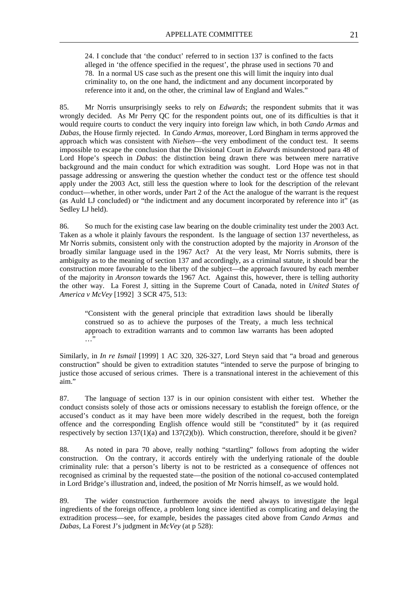24. I conclude that 'the conduct' referred to in section 137 is confined to the facts alleged in 'the offence specified in the request', the phrase used in sections 70 and 78. In a normal US case such as the present one this will limit the inquiry into dual criminality to, on the one hand, the indictment and any document incorporated by reference into it and, on the other, the criminal law of England and Wales."

85. Mr Norris unsurprisingly seeks to rely on *Edwards*; the respondent submits that it was wrongly decided. As Mr Perry QC for the respondent points out, one of its difficulties is that it would require courts to conduct the very inquiry into foreign law which, in both *Cando Armas* and *Dabas*, the House firmly rejected. In *Cando Armas*, moreover, Lord Bingham in terms approved the approach which was consistent with *Nielsen*—the very embodiment of the conduct test. It seems impossible to escape the conclusion that the Divisional Court in *Edwards* misunderstood para 48 of Lord Hope's speech in *Dabas*: the distinction being drawn there was between mere narrative background and the main conduct for which extradition was sought. Lord Hope was not in that passage addressing or answering the question whether the conduct test or the offence test should apply under the 2003 Act, still less the question where to look for the description of the relevant conduct—whether, in other words, under Part 2 of the Act the analogue of the warrant is the request (as Auld LJ concluded) or "the indictment and any document incorporated by reference into it" (as Sedley LJ held).

86. So much for the existing case law bearing on the double criminality test under the 2003 Act. Taken as a whole it plainly favours the respondent. Is the language of section 137 nevertheless, as Mr Norris submits, consistent only with the construction adopted by the majority in *Aronson* of the broadly similar language used in the 1967 Act? At the very least, Mr Norris submits, there is ambiguity as to the meaning of section 137 and accordingly, as a criminal statute, it should bear the construction more favourable to the liberty of the subject—the approach favoured by each member of the majority in *Aronson* towards the 1967 Act. Against this, however, there is telling authority the other way. La Forest J, sitting in the Supreme Court of Canada, noted in *United States of America v McVey* [1992] 3 SCR 475, 513:

"Consistent with the general principle that extradition laws should be liberally construed so as to achieve the purposes of the Treaty, a much less technical approach to extradition warrants and to common law warrants has been adopted …"

Similarly, in *In re Ismail* [1999] 1 AC 320, 326-327, Lord Steyn said that "a broad and generous construction" should be given to extradition statutes "intended to serve the purpose of bringing to justice those accused of serious crimes. There is a transnational interest in the achievement of this aim."

87. The language of section 137 is in our opinion consistent with either test. Whether the conduct consists solely of those acts or omissions necessary to establish the foreign offence, or the accused's conduct as it may have been more widely described in the request, both the foreign offence and the corresponding English offence would still be "constituted" by it (as required respectively by section 137(1)(a) and 137(2)(b)). Which construction, therefore, should it be given?

88. As noted in para 70 above, really nothing "startling" follows from adopting the wider construction. On the contrary, it accords entirely with the underlying rationale of the double criminality rule: that a person's liberty is not to be restricted as a consequence of offences not recognised as criminal by the requested state—the position of the notional co-accused contemplated in Lord Bridge's illustration and, indeed, the position of Mr Norris himself, as we would hold.

89. The wider construction furthermore avoids the need always to investigate the legal ingredients of the foreign offence, a problem long since identified as complicating and delaying the extradition process—see, for example, besides the passages cited above from *Cando Armas* and *Dabas*, La Forest J's judgment in *McVey* (at p 528):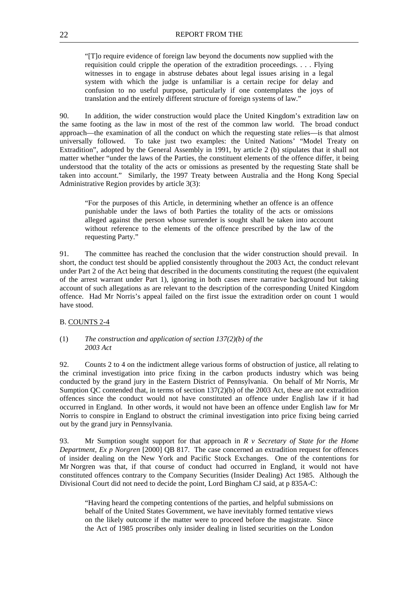"[T]o require evidence of foreign law beyond the documents now supplied with the requisition could cripple the operation of the extradition proceedings. . . . Flying witnesses in to engage in abstruse debates about legal issues arising in a legal system with which the judge is unfamiliar is a certain recipe for delay and confusion to no useful purpose, particularly if one contemplates the joys of translation and the entirely different structure of foreign systems of law."

90. In addition, the wider construction would place the United Kingdom's extradition law on the same footing as the law in most of the rest of the common law world. The broad conduct approach—the examination of all the conduct on which the requesting state relies—is that almost universally followed. To take just two examples: the United Nations' "Model Treaty on Extradition", adopted by the General Assembly in 1991, by article 2 (b) stipulates that it shall not matter whether "under the laws of the Parties, the constituent elements of the offence differ, it being understood that the totality of the acts or omissions as presented by the requesting State shall be taken into account." Similarly, the 1997 Treaty between Australia and the Hong Kong Special Administrative Region provides by article 3(3):

"For the purposes of this Article, in determining whether an offence is an offence punishable under the laws of both Parties the totality of the acts or omissions alleged against the person whose surrender is sought shall be taken into account without reference to the elements of the offence prescribed by the law of the requesting Party."

91. The committee has reached the conclusion that the wider construction should prevail. In short, the conduct test should be applied consistently throughout the 2003 Act, the conduct relevant under Part 2 of the Act being that described in the documents constituting the request (the equivalent of the arrest warrant under Part 1), ignoring in both cases mere narrative background but taking account of such allegations as are relevant to the description of the corresponding United Kingdom offence. Had Mr Norris's appeal failed on the first issue the extradition order on count 1 would have stood.

B. COUNTS 2-4

#### (1) *The construction and application of section 137(2)(b) of the 2003 Act*

92. Counts 2 to 4 on the indictment allege various forms of obstruction of justice, all relating to the criminal investigation into price fixing in the carbon products industry which was being conducted by the grand jury in the Eastern District of Pennsylvania. On behalf of Mr Norris, Mr Sumption QC contended that, in terms of section 137(2)(b) of the 2003 Act, these are not extradition offences since the conduct would not have constituted an offence under English law if it had occurred in England. In other words, it would not have been an offence under English law for Mr Norris to conspire in England to obstruct the criminal investigation into price fixing being carried out by the grand jury in Pennsylvania.

93. Mr Sumption sought support for that approach in *R v Secretary of State for the Home Department, Ex p Norgren* [2000] QB 817. The case concerned an extradition request for offences of insider dealing on the New York and Pacific Stock Exchanges. One of the contentions for Mr Norgren was that, if that course of conduct had occurred in England, it would not have constituted offences contrary to the Company Securities (Insider Dealing) Act 1985. Although the Divisional Court did not need to decide the point, Lord Bingham CJ said, at p 835A-C:

"Having heard the competing contentions of the parties, and helpful submissions on behalf of the United States Government, we have inevitably formed tentative views on the likely outcome if the matter were to proceed before the magistrate. Since the Act of 1985 proscribes only insider dealing in listed securities on the London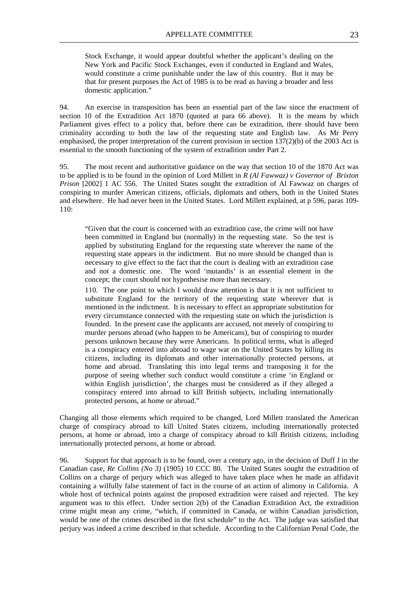Stock Exchange, it would appear doubtful whether the applicant's dealing on the New York and Pacific Stock Exchanges, even if conducted in England and Wales, would constitute a crime punishable under the law of this country. But it may be that for present purposes the Act of 1985 is to be read as having a broader and less domestic application."

94. An exercise in transposition has been an essential part of the law since the enactment of section 10 of the Extradition Act 1870 (quoted at para 66 above). It is the means by which Parliament gives effect to a policy that, before there can be extradition, there should have been criminality according to both the law of the requesting state and English law. As Mr Perry emphasised, the proper interpretation of the current provision in section 137(2)(b) of the 2003 Act is essential to the smooth functioning of the system of extradition under Part 2.

95. The most recent and authoritative guidance on the way that section 10 of the 1870 Act was to be applied is to be found in the opinion of Lord Millett in *R (Al Fawwaz) v Governor of Brixton Prison* [2002] 1 AC 556. The United States sought the extradition of Al Fawwaz on charges of conspiring to murder American citizens, officials, diplomats and others, both in the United States and elsewhere. He had never been in the United States. Lord Millett explained, at p 596, paras 109- 110:

"Given that the court is concerned with an extradition case, the crime will not have been committed in England but (normally) in the requesting state. So the test is applied by substituting England for the requesting state wherever the name of the requesting state appears in the indictment. But no more should be changed than is necessary to give effect to the fact that the court is dealing with an extradition case and not a domestic one. The word 'mutandis' is an essential element in the concept; the court should not hypothesise more than necessary.

110. The one point to which I would draw attention is that it is not sufficient to substitute England for the territory of the requesting state wherever that is mentioned in the indictment. It is necessary to effect an appropriate substitution for every circumstance connected with the requesting state on which the jurisdiction is founded. In the present case the applicants are accused, not merely of conspiring to murder persons abroad (who happen to be Americans), but of conspiring to murder persons unknown because they were Americans. In political terms, what is alleged is a conspiracy entered into abroad to wage war on the United States by killing its citizens, including its diplomats and other internationally protected persons, at home and abroad. Translating this into legal terms and transposing it for the purpose of seeing whether such conduct would constitute a crime 'in England or within English jurisdiction', the charges must be considered as if they alleged a conspiracy entered into abroad to kill British subjects, including internationally protected persons, at home or abroad."

Changing all those elements which required to be changed, Lord Millett translated the American charge of conspiracy abroad to kill United States citizens, including internationally protected persons, at home or abroad, into a charge of conspiracy abroad to kill British citizens, including internationally protected persons, at home or abroad.

96. Support for that approach is to be found, over a century ago, in the decision of Duff J in the Canadian case, *Re Collins (No 3)* (1905) 10 CCC 80. The United States sought the extradition of Collins on a charge of perjury which was alleged to have taken place when he made an affidavit containing a wilfully false statement of fact in the course of an action of alimony in California. A whole host of technical points against the proposed extradition were raised and rejected. The key argument was to this effect. Under section 2(b) of the Canadian Extradition Act, the extradition crime might mean any crime, "which, if committed in Canada, or within Canadian jurisdiction, would be one of the crimes described in the first schedule" to the Act. The judge was satisfied that perjury was indeed a crime described in that schedule. According to the Californian Penal Code, the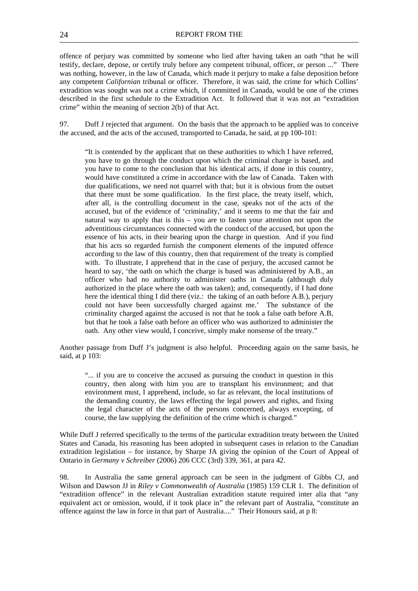offence of perjury was committed by someone who lied after having taken an oath "that he will testify, declare, depose, or certify truly before any competent tribunal, officer, or person ..." There was nothing, however, in the law of Canada, which made it perjury to make a false deposition before any competent *Californian* tribunal or officer. Therefore, it was said, the crime for which Collins' extradition was sought was not a crime which, if committed in Canada, would be one of the crimes described in the first schedule to the Extradition Act. It followed that it was not an "extradition crime" within the meaning of section 2(b) of that Act.

97. Duff J rejected that argument. On the basis that the approach to be applied was to conceive the accused, and the acts of the accused, transported to Canada, he said, at pp 100-101:

"It is contended by the applicant that on these authorities to which I have referred, you have to go through the conduct upon which the criminal charge is based, and you have to come to the conclusion that his identical acts, if done in this country, would have constituted a crime in accordance with the law of Canada. Taken with due qualifications, we need not quarrel with that; but it is obvious from the outset that there must be some qualification. In the first place, the treaty itself, which, after all, is the controlling document in the case, speaks not of the acts of the accused, but of the evidence of 'criminality,' and it seems to me that the fair and natural way to apply that is this – you are to fasten your attention not upon the adventitious circumstances connected with the conduct of the accused, but upon the essence of his acts, in their bearing upon the charge in question. And if you find that his acts so regarded furnish the component elements of the imputed offence according to the law of this country, then that requirement of the treaty is complied with. To illustrate, I apprehend that in the case of perjury, the accused cannot be heard to say, 'the oath on which the charge is based was administered by A.B., an officer who had no authority to administer oaths in Canada (although duly authorized in the place where the oath was taken); and, consequently, if I had done here the identical thing I did there (viz.: the taking of an oath before A.B.), perjury could not have been successfully charged against me.' The substance of the criminality charged against the accused is not that he took a false oath before A.B, but that he took a false oath before an officer who was authorized to administer the oath. Any other view would, I conceive, simply make nonsense of the treaty."

Another passage from Duff J's judgment is also helpful. Proceeding again on the same basis, he said, at p 103:

"... if you are to conceive the accused as pursuing the conduct in question in this country, then along with him you are to transplant his environment; and that environment must, I apprehend, include, so far as relevant, the local institutions of the demanding country, the laws effecting the legal powers and rights, and fixing the legal character of the acts of the persons concerned, always excepting, of course, the law supplying the definition of the crime which is charged."

While Duff J referred specifically to the terms of the particular extradition treaty between the United States and Canada, his reasoning has been adopted in subsequent cases in relation to the Canadian extradition legislation – for instance, by Sharpe JA giving the opinion of the Court of Appeal of Ontario in *Germany v Schreiber* (2006) 206 CCC (3rd) 339, 361, at para 42.

98. In Australia the same general approach can be seen in the judgment of Gibbs CJ, and Wilson and Dawson JJ in *Riley v Commonwealth of Australia* (1985) 159 CLR 1. The definition of "extradition offence" in the relevant Australian extradition statute required inter alia that "any equivalent act or omission, would, if it took place in" the relevant part of Australia, "constitute an offence against the law in force in that part of Australia...." Their Honours said, at p 8: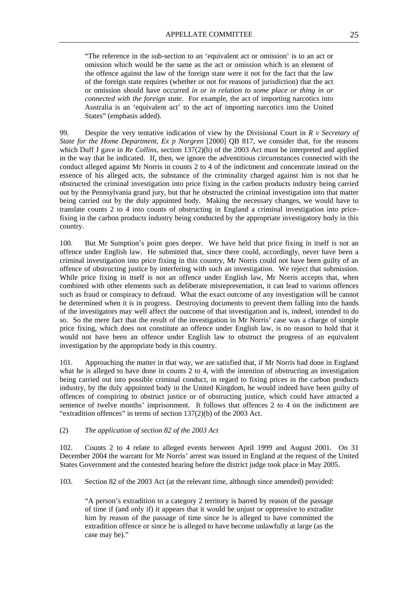"The reference in the sub-section to an 'equivalent act or omission' is to an act or omission which would be the same as the act or omission which is an element of the offence against the law of the foreign state were it not for the fact that the law of the foreign state requires (whether or not for reasons of jurisdiction) that the act or omission should have occurred *in or in relation to some place or thing in or connected with the foreign state.* For example, the act of importing narcotics into Australia is an 'equivalent act' to the act of importing narcotics into the United States" (emphasis added).

99. Despite the very tentative indication of view by the Divisional Court in *R v Secretary of State for the Home Department, Ex p Norgren* [2000] QB 817, we consider that, for the reasons which Duff J gave in *Re Collins*, section 137(2)(b) of the 2003 Act must be interpreted and applied in the way that he indicated. If, then, we ignore the adventitious circumstances connected with the conduct alleged against Mr Norris in counts 2 to 4 of the indictment and concentrate instead on the essence of his alleged acts, the substance of the criminality charged against him is not that he obstructed the criminal investigation into price fixing in the carbon products industry being carried out by the Pennsylvania grand jury, but that he obstructed the criminal investigation into that matter being carried out by the duly appointed body. Making the necessary changes, we would have to translate counts 2 to 4 into counts of obstructing in England a criminal investigation into pricefixing in the carbon products industry being conducted by the appropriate investigatory body in this country.

100. But Mr Sumption's point goes deeper. We have held that price fixing in itself is not an offence under English law. He submitted that, since there could, accordingly, never have been a criminal investigation into price fixing in this country, Mr Norris could not have been guilty of an offence of obstructing justice by interfering with such an investigation. We reject that submission. While price fixing in itself is not an offence under English law, Mr Norris accepts that, when combined with other elements such as deliberate misrepresentation, it can lead to various offences such as fraud or conspiracy to defraud. What the exact outcome of any investigation will be cannot be determined when it is in progress. Destroying documents to prevent them falling into the hands of the investigators may well affect the outcome of that investigation and is, indeed, intended to do so. So the mere fact that the result of the investigation in Mr Norris' case was a charge of simple price fixing, which does not constitute an offence under English law, is no reason to hold that it would not have been an offence under English law to obstruct the progress of an equivalent investigation by the appropriate body in this country.

101. Approaching the matter in that way, we are satisfied that, if Mr Norris had done in England what he is alleged to have done in counts 2 to 4, with the intention of obstructing an investigation being carried out into possible criminal conduct, in regard to fixing prices in the carbon products industry, by the duly appointed body in the United Kingdom, he would indeed have been guilty of offences of conspiring to obstruct justice or of obstructing justice, which could have attracted a sentence of twelve months' imprisonment. It follows that offences 2 to 4 on the indictment are "extradition offences" in terms of section 137(2)(b) of the 2003 Act.

#### (2) *The application of section 82 of the 2003 Act*

102. Counts 2 to 4 relate to alleged events between April 1999 and August 2001. On 31 December 2004 the warrant for Mr Norris' arrest was issued in England at the request of the United States Government and the contested hearing before the district judge took place in May 2005.

103. Section 82 of the 2003 Act (at the relevant time, although since amended) provided:

"A person's extradition to a category 2 territory is barred by reason of the passage of time if (and only if) it appears that it would be unjust or oppressive to extradite him by reason of the passage of time since he is alleged to have committed the extradition offence or since he is alleged to have become unlawfully at large (as the case may be)."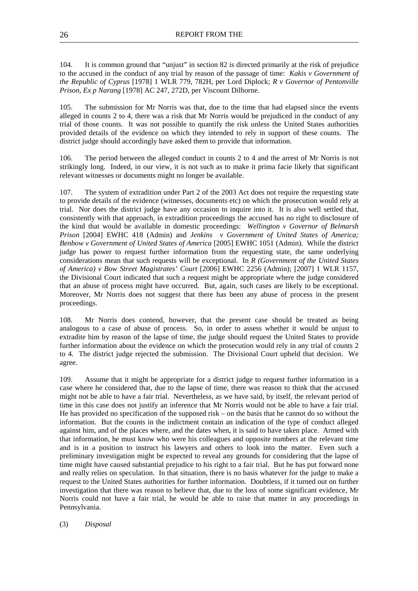104. It is common ground that "unjust" in section 82 is directed primarily at the risk of prejudice to the accused in the conduct of any trial by reason of the passage of time: *Kakis v Government of the Republic of Cyprus* [1978] 1 WLR 779, 782H, per Lord Diplock; *R v Governor of Pentonville Prison*, *Ex p Narang* [1978] AC 247, 272D, per Viscount Dilhorne.

105. The submission for Mr Norris was that, due to the time that had elapsed since the events alleged in counts 2 to 4, there was a risk that Mr Norris would be prejudiced in the conduct of any trial of those counts. It was not possible to quantify the risk unless the United States authorities provided details of the evidence on which they intended to rely in support of these counts. The district judge should accordingly have asked them to provide that information.

106. The period between the alleged conduct in counts 2 to 4 and the arrest of Mr Norris is not strikingly long. Indeed, in our view, it is not such as to make it prima facie likely that significant relevant witnesses or documents might no longer be available.

107. The system of extradition under Part 2 of the 2003 Act does not require the requesting state to provide details of the evidence (witnesses, documents etc) on which the prosecution would rely at trial. Nor does the district judge have any occasion to inquire into it. It is also well settled that, consistently with that approach, in extradition proceedings the accused has no right to disclosure of the kind that would be available in domestic proceedings: *Wellington v Governor of Belmarsh Prison* [2004] EWHC 418 (Admin) and *Jenkins v Government of United States of America; Benbow v Government of United States of America* [2005] EWHC 1051 (Admin). While the district judge has power to request further information from the requesting state, the same underlying considerations mean that such requests will be exceptional. In *R (Government of the United States of America) v Bow Street Magistrates' Court* [2006] EWHC 2256 (Admin); [2007] 1 WLR 1157, the Divisional Court indicated that such a request might be appropriate where the judge considered that an abuse of process might have occurred. But, again, such cases are likely to be exceptional. Moreover, Mr Norris does not suggest that there has been any abuse of process in the present proceedings.

108. Mr Norris does contend, however, that the present case should be treated as being analogous to a case of abuse of process. So, in order to assess whether it would be unjust to extradite him by reason of the lapse of time, the judge should request the United States to provide further information about the evidence on which the prosecution would rely in any trial of counts 2 to 4. The district judge rejected the submission. The Divisional Court upheld that decision. We agree.

109. Assume that it might be appropriate for a district judge to request further information in a case where he considered that, due to the lapse of time, there was reason to think that the accused might not be able to have a fair trial. Nevertheless, as we have said, by itself, the relevant period of time in this case does not justify an inference that Mr Norris would not be able to have a fair trial. He has provided no specification of the supposed risk – on the basis that he cannot do so without the information. But the counts in the indictment contain an indication of the type of conduct alleged against him, and of the places where, and the dates when, it is said to have taken place. Armed with that information, he must know who were his colleagues and opposite numbers at the relevant time and is in a position to instruct his lawyers and others to look into the matter. Even such a preliminary investigation might be expected to reveal any grounds for considering that the lapse of time might have caused substantial prejudice to his right to a fair trial. But he has put forward none and really relies on speculation. In that situation, there is no basis whatever for the judge to make a request to the United States authorities for further information. Doubtless, if it turned out on further investigation that there was reason to believe that, due to the loss of some significant evidence, Mr Norris could not have a fair trial, he would be able to raise that matter in any proceedings in Pennsylvania.

#### (3) *Disposal*